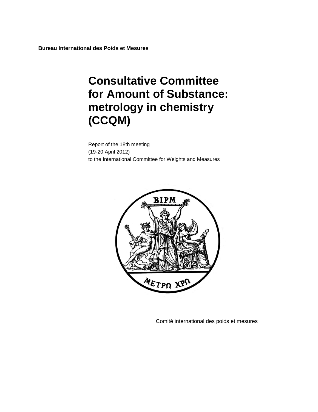**Bureau International des Poids et Mesures**

# **Consultative Committee for Amount of Substance: metrology in chemistry (CCQM)**

Report of the 18th meeting (19-20 April 2012) to the International Committee for Weights and Measures



Comité international des poids et mesures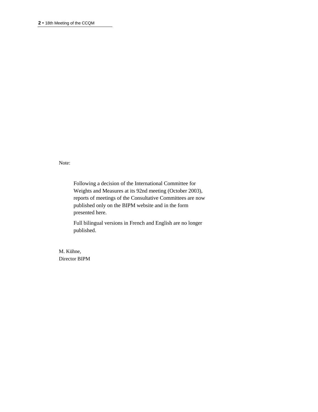Note:

Following a decision of the International Committee for Weights and Measures at its 92nd meeting (October 2003), reports of meetings of the Consultative Committees are now published only on the BIPM website and in the form presented here.

Full bilingual versions in French and English are no longer published.

M. Kühne, Director BIPM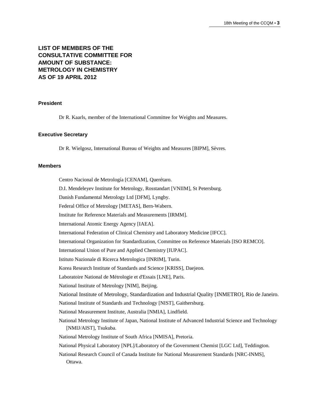# **LIST OF MEMBERS OF THE CONSULTATIVE COMMITTEE FOR AMOUNT OF SUBSTANCE: METROLOGY IN CHEMISTRY AS OF 19 APRIL 2012**

#### **President**

Dr R. Kaarls, member of the International Committee for Weights and Measures.

#### **Executive Secretary**

Dr R. Wielgosz, International Bureau of Weights and Measures [BIPM], Sèvres.

#### **Members**

Centro Nacional de Metrología [CENAM], Querétaro. D.I. Mendeleyev Institute for Metrology, Rosstandart [VNIIM], St Petersburg. Danish Fundamental Metrology Ltd [DFM], Lyngby. Federal Office of Metrology [METAS], Bern-Wabern. Institute for Reference Materials and Measurements [IRMM]. International Atomic Energy Agency [IAEA]. International Federation of Clinical Chemistry and Laboratory Medicine [IFCC]. International Organization for Standardization, Committee on Reference Materials [ISO REMCO]. International Union of Pure and Applied Chemistry [IUPAC]. Istituto Nazionale di Ricerca Metrologica [INRIM], Turin. Korea Research Institute of Standards and Science [KRISS], Daejeon. Laboratoire National de Métrologie et d'Essais [LNE], Paris. National Institute of Metrology [NIM], Beijing. National Institute of Metrology, Standardization and Industrial Quality [INMETRO], Rio de Janeiro. National Institute of Standards and Technology [NIST], Gaithersburg. National Measurement Institute, Australia [NMIA], Lindfield. National Metrology Institute of Japan, National Institute of Advanced Industrial Science and Technology [NMIJ/AIST], Tsukuba. National Metrology Institute of South Africa [NMISA], Pretoria. National Physical Laboratory [NPL]/Laboratory of the Government Chemist [LGC Ltd], Teddington. National Research Council of Canada Institute for National Measurement Standards [NRC-INMS], Ottawa.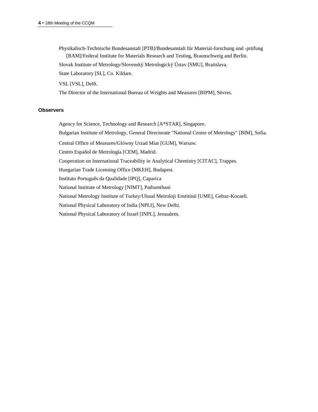Physikalisch-Technische Bundesanstalt [PTB]/Bundesanstalt für Material-forschung und -prüfung [BAM]/Federal Institute for Materials Research and Testing, Braunschweig and Berlin.

Slovak Institute of Metrology/Slovenský Metrologický Ústav [SMU], Bratislava.

State Laboratory [SL], Co. Kildare.

VSL [VSL], Delft.

The Director of the International Bureau of Weights and Measures [BIPM], Sèvres.

#### **Observers**

Agency for Science, Technology and Research [A\*STAR], Singapore.

Bulgarian Institute of Metrology, General Directorate "National Centre of Metrology" [BIM], Sofia.

Central Office of Measures/Glόwny Urzad Miar [GUM], Warsaw.

Centro Español de Metrología [CEM], Madrid.

Cooperation on International Traceability in Analytical Chemistry [CITAC], Trappes.

Hungarian Trade Licensing Office [MKEH], Budapest.

Instituto Português da Qualidade [IPQ], Caparica

National Institute of Metrology [NIMT], Pathumthani

National Metrology Institute of Turkey/Ulusal Metroloji Enstitüsü [UME], Gebze-Kocaeli.

National Physical Laboratory of India [NPLI], New Delhi.

National Physical Laboratory of Israel [INPL], Jerusalem.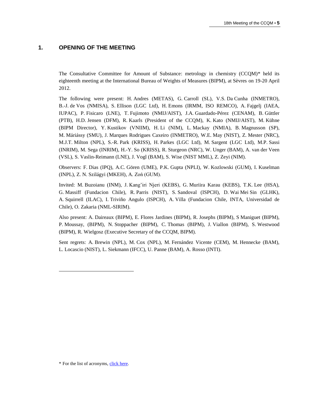#### **1. OPENING OF THE MEETING**

The Consultative Committee for Amount of Substance: metrology in chemistry (CCQM)\* held its eighteenth meeting at the International Bureau of Weights of Measures (BIPM), at Sèvres on 19-20 April 2012.

The following were present: H. Andres (METAS), G. Carroll (SL), V.S. Da Cunha (INMETRO), B.-J. de Vos (NMISA), S. Ellison (LGC Ltd), H. Emons (IRMM, ISO REMCO), A. Fajgelj (IAEA, IUPAC), P. Fisicaro (LNE), T. Fujimoto (NMIJ/AIST), J.A. Guardado-Pérez (CENAM), B. Güttler (PTB), H.D. Jensen (DFM), R. Kaarls (President of the CCQM), K. Kato (NMIJ/AIST), M. Kühne (BIPM Director), Y. Kustikov (VNIIM), H. Li (NIM), L. Mackay (NMIA), B. Magnusson (SP), M. Máriássy (SMU), J. Marques Rodrigues Caxeiro (INMETRO), W.E. May (NIST), Z. Mester (NRC), M.J.T. Milton (NPL), S.-R. Park (KRISS), H. Parkes (LGC Ltd), M. Sargent (LGC Ltd), M.P. Sassi (INRIM), M. Sega (INRIM), H.-Y. So (KRISS), R. Sturgeon (NRC), W. Unger (BAM), A. van der Veen (VSL), S. Vaslin-Reimann (LNE), J. Vogl (BAM), S. Wise (NIST MML), Z. Zeyi (NIM).

Observers: F. Dias (IPQ), A.C. Gören (UME), P.K. Gupta (NPLI), W. Kozlowski (GUM), I. Kuselman (INPL), Z. N. Szilágyi (MKEH), A. Zoń (GUM).

Invited: M. Buzoianu (INM), J. Kang'iri Njeri (KEBS), G. Muriira Karau (KEBS), T.K. Lee (HSA), G. Massiff (Fundacion Chile), R. Parris (NIST), S. Sandoval (ISPCH), D. Wai Mei Sin (GLHK), A. Squirrell (ILAC), I. Triviño Angulo (ISPCH), A. Villa (Fundacion Chile, INTA, Universidad de Chile), O. Zakaria (NML-SIRIM).

Also present: A. Daireaux (BIPM), E. Flores Jardines (BIPM), R. Josephs (BIPM), S Maniguet (BIPM), P. Moussay, (BIPM), N. Stoppacher (BIPM), C. Thomas (BIPM), J. Viallon (BIPM), S. Westwood (BIPM), R. Wielgosz (Executive Secretary of the CCQM, BIPM).

Sent regrets: A. Brewin (NPL), M. Cox (NPL), M. Fernández Vicente (CEM), M. Hennecke (BAM), L. Locascio (NIST), L. Siekmann (IFCC), U. Panne (BAM), A. Rosso (INTI).

l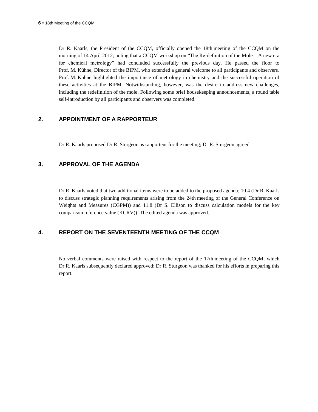Dr R. Kaarls, the President of the CCQM, officially opened the 18th meeting of the CCQM on the morning of 14 April 2012, noting that a CCQM workshop on "The Re-definition of the Mole – A new era for chemical metrology" had concluded successfully the previous day. He passed the floor to Prof. M. Kühne, Director of the BIPM, who extended a general welcome to all participants and observers. Prof. M. Kühne highlighted the importance of metrology in chemistry and the successful operation of these activities at the BIPM. Notwithstanding, however, was the desire to address new challenges, including the redefinition of the mole. Following some brief housekeeping announcements, a round table self-introduction by all participants and observers was completed.

## **2. APPOINTMENT OF A RAPPORTEUR**

Dr R. Kaarls proposed Dr R. Sturgeon as rapporteur for the meeting; Dr R. Sturgeon agreed.

## **3. APPROVAL OF THE AGENDA**

Dr R. Kaarls noted that two additional items were to be added to the proposed agenda; 10.4 (Dr R. Kaarls to discuss strategic planning requirements arising from the 24th meeting of the General Conference on Weights and Measures (CGPM)) and 11.8 (Dr S. Ellison to discuss calculation models for the key comparison reference value (KCRV)). The edited agenda was approved.

## **4. REPORT ON THE SEVENTEENTH MEETING OF THE CCQM**

No verbal comments were raised with respect to the report of the 17th meeting of the CCQM, which Dr R. Kaarls subsequently declared approved; Dr R. Sturgeon was thanked for his efforts in preparing this report.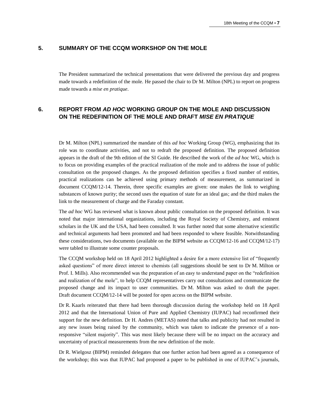## **5. SUMMARY OF THE CCQM WORKSHOP ON THE MOLE**

The President summarized the technical presentations that were delivered the previous day and progress made towards a redefinition of the mole. He passed the chair to Dr M. Milton (NPL) to report on progress made towards a *mise en pratique*.

## **6. REPORT FROM** *AD HOC* **WORKING GROUP ON THE MOLE AND DISCUSSION ON THE REDEFINITION OF THE MOLE AND DRAFT** *MISE EN PRATIQUE*

Dr M. Milton (NPL) summarized the mandate of this *ad hoc* Working Group (WG), emphasizing that its role was to coordinate activities, and not to redraft the proposed definition. The proposed definition appears in the draft of the 9th edition of the SI Guide. He described the work of the *ad hoc* WG, which is to focus on providing examples of the practical realization of the mole and to address the issue of public consultation on the proposed changes. As the proposed definition specifies a fixed number of entities, practical realizations can be achieved using primary methods of measurement, as summarized in document CCQM/12-14. Therein, three specific examples are given: one makes the link to weighing substances of known purity; the second uses the equation of state for an ideal gas; and the third makes the link to the measurement of charge and the Faraday constant.

The *ad hoc* WG has reviewed what is known about public consultation on the proposed definition. It was noted that major international organizations, including the Royal Society of Chemistry, and eminent scholars in the UK and the USA, had been consulted. It was further noted that some alternative scientific and technical arguments had been promoted and had been responded to where feasible. Notwithstanding these considerations, two documents (available on the BIPM website as CCQM/12-16 and CCQM/12-17) were tabled to illustrate some counter proposals.

The CCQM workshop held on 18 April 2012 highlighted a desire for a more extensive list of "frequently asked questions" of more direct interest to chemists (all suggestions should be sent to Dr M. Milton or Prof. I. Mills). Also recommended was the preparation of an easy to understand paper on the "redefinition and realization of the mole", to help CCQM representatives carry out consultations and communicate the proposed change and its impact to user communities. Dr M. Milton was asked to draft the paper. Draft document CCQM/12-14 will be posted for open access on the BIPM website.

Dr R. Kaarls reiterated that there had been thorough discussion during the workshop held on 18 April 2012 and that the International Union of Pure and Applied Chemistry (IUPAC) had reconfirmed their support for the new definition. Dr H. Andres (METAS) noted that talks and publicity had not resulted in any new issues being raised by the community, which was taken to indicate the presence of a nonresponsive "silent majority". This was most likely because there will be no impact on the accuracy and uncertainty of practical measurements from the new definition of the mole.

Dr R. Wielgosz (BIPM) reminded delegates that one further action had been agreed as a consequence of the workshop; this was that IUPAC had proposed a paper to be published in one of IUPAC's journals,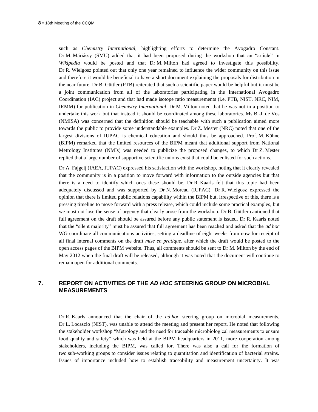such as *Chemistry International,* highlighting efforts to determine the Avogadro Constant. Dr M. Máriássy (SMU) added that it had been proposed during the workshop that an "article" in *Wikipedia* would be posted and that Dr M. Milton had agreed to investigate this possibility. Dr R. Wielgosz pointed out that only one year remained to influence the wider community on this issue and therefore it would be beneficial to have a short document explaining the proposals for distribution in the near future. Dr B. Güttler (PTB) reiterated that such a scientific paper would be helpful but it must be a joint communication from all of the laboratories participating in the International Avogadro Coordination (IAC) project and that had made isotope ratio measurements (i.e. PTB, NIST, NRC, NIM, IRMM) for publication in *Chemistry International*. Dr M. Milton noted that he was not in a position to undertake this work but that instead it should be coordinated among these laboratories. Ms B.-J. de Vos (NMISA) was concerned that the definition should be teachable with such a publication aimed more towards the public to provide some understandable examples. Dr Z. Mester (NRC) noted that one of the largest divisions of IUPAC is chemical education and should thus be approached. Prof. M. Kühne (BIPM) remarked that the limited resources of the BIPM meant that additional support from National Metrology Institutes (NMIs) was needed to publicize the proposed changes, to which Dr Z. Mester replied that a large number of supportive scientific unions exist that could be enlisted for such actions.

Dr A. Fajgelj (IAEA, IUPAC) expressed his satisfaction with the workshop, noting that it clearly revealed that the community is in a position to move forward with information to the outside agencies but that there is a need to identify which ones these should be. Dr R. Kaarls felt that this topic had been adequately discussed and was supported by Dr N. Moreau (IUPAC). Dr R. Wielgosz expressed the opinion that there is limited public relations capability within the BIPM but, irrespective of this, there is a pressing timeline to move forward with a press release, which could include some practical examples, but we must not lose the sense of urgency that clearly arose from the workshop. Dr B. Güttler cautioned that full agreement on the draft should be assured before any public statement is issued. Dr R. Kaarls noted that the "silent majority" must be assured that full agreement has been reached and asked that the *ad hoc* WG coordinate all communications activities, setting a deadline of eight weeks from now for receipt of all final internal comments on the draft *mise en pratique*, after which the draft would be posted to the open access pages of the BIPM website. Thus, all comments should be sent to Dr M. Milton by the end of May 2012 when the final draft will be released, although it was noted that the document will continue to remain open for additional comments.

# **7. REPORT ON ACTIVITIES OF THE** *AD HOC* **STEERING GROUP ON MICROBIAL MEASUREMENTS**

Dr R. Kaarls announced that the chair of the *ad hoc* steering group on microbial measurements, Dr L. Locascio (NIST), was unable to attend the meeting and present her report. He noted that following the stakeholder workshop "Metrology and the need for traceable microbiological measurements to ensure food quality and safety" which was held at the BIPM headquarters in 2011, more cooperation among stakeholders, including the BIPM, was called for. There was also a call for the formation of two sub-working groups to consider issues relating to quantitation and identification of bacterial strains. Issues of importance included how to establish traceability and measurement uncertainty. It was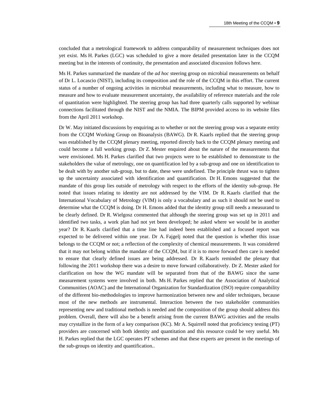concluded that a metrological framework to address comparability of measurement techniques does not yet exist. Ms H. Parkes (LGC) was scheduled to give a more detailed presentation later in the CCQM meeting but in the interests of continuity, the presentation and associated discussion follows here.

Ms H. Parkes summarized the mandate of the *ad hoc* steering group on microbial measurements on behalf of Dr L. Locascio (NIST), including its composition and the role of the CCQM in this effort. The current status of a number of ongoing activities in microbial measurements, including what to measure, how to measure and how to evaluate measurement uncertainty, the availability of reference materials and the role of quantitation were highlighted. The steering group has had three quarterly calls supported by webinar connections facilitated through the NIST and the NMIA. The BIPM provided access to its website files from the April 2011 workshop.

Dr W. May initiated discussions by enquiring as to whether or not the steering group was a separate entity from the CCQM Working Group on Bioanalysis (BAWG). Dr R. Kaarls replied that the steering group was established by the CCQM plenary meeting, reported directly back to the CCQM plenary meeting and could become a full working group. Dr Z. Mester enquired about the nature of the measurements that were envisioned. Ms H. Parkes clarified that two projects were to be established to demonstrate to the stakeholders the value of metrology, one on quantification led by a sub-group and one on identification to be dealt with by another sub-group, but to date, these were undefined. The principle thrust was to tighten up the uncertainty associated with identification and quantification. Dr H. Emons suggested that the mandate of this group lies outside of metrology with respect to the efforts of the identity sub-group. He noted that issues relating to identity are not addressed by the VIM. Dr R. Kaarls clarified that the International Vocabulary of Metrology (VIM) is only a vocabulary and as such it should not be used to determine what the CCQM is doing. Dr H. Emons added that the identity group still needs a measurand to be clearly defined. Dr R. Wielgosz commented that although the steering group was set up in 2011 and identified two tasks, a work plan had not yet been developed; he asked where we would be in another year? Dr R. Kaarls clarified that a time line had indeed been established and a focused report was expected to be delivered within one year. Dr A. Fajgelj noted that the question is whether this issue belongs to the CCQM or not; a reflection of the complexity of chemical measurements. It was considered that it may not belong within the mandate of the CCQM, but if it is to move forward then care is needed to ensure that clearly defined issues are being addressed. Dr R. Kaarls reminded the plenary that following the 2011 workshop there was a desire to move forward collaboratively. Dr Z. Mester asked for clarification on how the WG mandate will be separated from that of the BAWG since the same measurement systems were involved in both. Ms H. Parkes replied that the Association of Analytical Communities (AOAC) and the International Organization for Standardization (ISO) require comparability of the different bio-methodologies to improve harmonization between new and older techniques, because most of the new methods are instrumental. Interaction between the two stakeholder communities representing new and traditional methods is needed and the composition of the group should address this problem. Overall, there will also be a benefit arising from the current BAWG activities and the results may crystallize in the form of a key comparison (KC). Mr A. Squirrell noted that proficiency testing (PT) providers are concerned with both identity and quantitation and this resource could be very useful. Ms H. Parkes replied that the LGC operates PT schemes and that these experts are present in the meetings of the sub-groups on identity and quantification..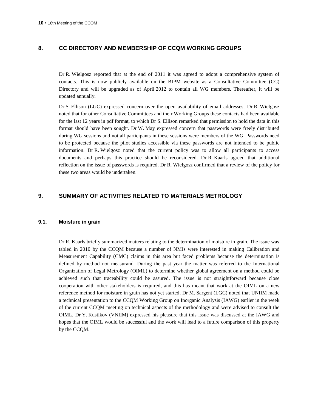## **8. CC DIRECTORY AND MEMBERSHIP OF CCQM WORKING GROUPS**

Dr R. Wielgosz reported that at the end of 2011 it was agreed to adopt a comprehensive system of contacts. This is now publicly available on the BIPM website as a Consultative Committee (CC) Directory and will be upgraded as of April 2012 to contain all WG members. Thereafter, it will be updated annually.

Dr S. Ellison (LGC) expressed concern over the open availability of email addresses. Dr R. Wielgosz noted that for other Consultative Committees and their Working Groups these contacts had been available for the last 12 years in pdf format, to which Dr S. Ellison remarked that permission to hold the data in this format should have been sought. Dr W. May expressed concern that passwords were freely distributed during WG sessions and not all participants in these sessions were members of the WG. Passwords need to be protected because the pilot studies accessible via these passwords are not intended to be public information. Dr R. Wielgosz noted that the current policy was to allow all participants to access documents and perhaps this practice should be reconsidered. Dr R. Kaarls agreed that additional reflection on the issue of passwords is required. Dr R. Wielgosz confirmed that a review of the policy for these two areas would be undertaken.

## **9. SUMMARY OF ACTIVITIES RELATED TO MATERIALS METROLOGY**

#### **9.1. Moisture in grain**

Dr R. Kaarls briefly summarized matters relating to the determination of moisture in grain. The issue was tabled in 2010 by the CCQM because a number of NMIs were interested in making Calibration and Measurement Capability (CMC) claims in this area but faced problems because the determination is defined by method not measurand. During the past year the matter was referred to the International Organization of Legal Metrology (OIML) to determine whether global agreement on a method could be achieved such that traceability could be assured. The issue is not straightforward because close cooperation with other stakeholders is required, and this has meant that work at the OIML on a new reference method for moisture in grain has not yet started. Dr M. Sargent (LGC) noted that UNIIM made a technical presentation to the CCQM Working Group on Inorganic Analysis (IAWG) earlier in the week of the current CCQM meeting on technical aspects of the methodology and were advised to consult the OIML. Dr Y. Kustikov (VNIIM) expressed his pleasure that this issue was discussed at the IAWG and hopes that the OIML would be successful and the work will lead to a future comparison of this property by the CCQM.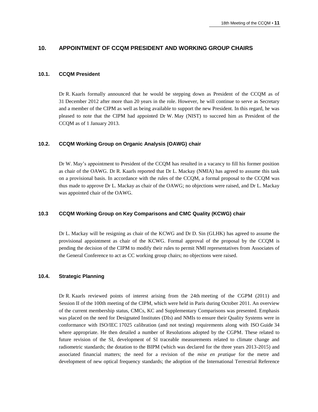### **10. APPOINTMENT OF CCQM PRESIDENT AND WORKING GROUP CHAIRS**

#### **10.1. CCQM President**

Dr R. Kaarls formally announced that he would be stepping down as President of the CCQM as of 31 December 2012 after more than 20 years in the role. However, he will continue to serve as Secretary and a member of the CIPM as well as being available to support the new President. In this regard, he was pleased to note that the CIPM had appointed Dr W. May (NIST) to succeed him as President of the CCQM as of 1 January 2013.

#### **10.2. CCQM Working Group on Organic Analysis (OAWG) chair**

Dr W. May's appointment to President of the CCQM has resulted in a vacancy to fill his former position as chair of the OAWG. Dr R. Kaarls reported that Dr L. Mackay (NMIA) has agreed to assume this task on a provisional basis. In accordance with the rules of the CCQM, a formal proposal to the CCQM was thus made to approve Dr L. Mackay as chair of the OAWG; no objections were raised, and Dr L. Mackay was appointed chair of the OAWG.

#### **10.3 CCQM Working Group on Key Comparisons and CMC Quality (KCWG) chair**

Dr L. Mackay will be resigning as chair of the KCWG and Dr D. Sin (GLHK) has agreed to assume the provisional appointment as chair of the KCWG. Formal approval of the proposal by the CCQM is pending the decision of the CIPM to modify their rules to permit NMI representatives from Associates of the General Conference to act as CC working group chairs; no objections were raised.

#### **10.4. Strategic Planning**

Dr R. Kaarls reviewed points of interest arising from the 24th meeting of the CGPM (2011) and Session II of the 100th meeting of the CIPM, which were held in Paris during October 2011. An overview of the current membership status, CMCs, KC and Supplementary Comparisons was presented. Emphasis was placed on the need for Designated Institutes (DIs) and NMIs to ensure their Quality Systems were in conformance with ISO/IEC 17025 calibration (and not testing) requirements along with ISO Guide 34 where appropriate. He then detailed a number of Resolutions adopted by the CGPM. These related to future revision of the SI, development of SI traceable measurements related to climate change and radiometric standards; the dotation to the BIPM (which was declared for the three years 2013-2015) and associated financial matters; the need for a revision of the *mise en pratique* for the metre and development of new optical frequency standards; the adoption of the International Terrestrial Reference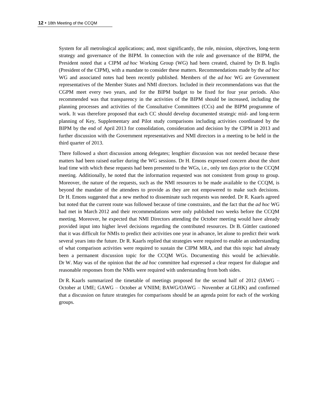System for all metrological applications; and, most significantly, the role, mission, objectives, long-term strategy and governance of the BIPM. In connection with the role and governance of the BIPM, the President noted that a CIPM *ad hoc* Working Group (WG) had been created, chaired by Dr B. Inglis (President of the CIPM), with a mandate to consider these matters. Recommendations made by the *ad hoc* WG and associated notes had been recently published. Members of the *ad hoc* WG are Government representatives of the Member States and NMI directors. Included in their recommendations was that the CGPM meet every two years, and for the BIPM budget to be fixed for four year periods. Also recommended was that transparency in the activities of the BIPM should be increased, including the planning processes and activities of the Consultative Committees (CCs) and the BIPM programme of work. It was therefore proposed that each CC should develop documented strategic mid- and long-term planning of Key, Supplementary and Pilot study comparisons including activities coordinated by the BIPM by the end of April 2013 for consolidation, consideration and decision by the CIPM in 2013 and further discussion with the Government representatives and NMI directors in a meeting to be held in the third quarter of 2013.

There followed a short discussion among delegates; lengthier discussion was not needed because these matters had been raised earlier during the WG sessions. Dr H. Emons expressed concern about the short lead time with which these requests had been presented to the WGs, i.e., only ten days prior to the CCQM meeting. Additionally, he noted that the information requested was not consistent from group to group. Moreover, the nature of the requests, such as the NMI resources to be made available to the CCQM, is beyond the mandate of the attendees to provide as they are not empowered to make such decisions. Dr H. Emons suggested that a new method to disseminate such requests was needed. Dr R. Kaarls agreed but noted that the current route was followed because of time constraints, and the fact that the *ad hoc* WG had met in March 2012 and their recommendations were only published two weeks before the CCQM meeting. Moreover, he expected that NMI Directors attending the October meeting would have already provided input into higher level decisions regarding the contributed resources. Dr B. Güttler cautioned that it was difficult for NMIs to predict their activities one year in advance, let alone to predict their work several years into the future. Dr R. Kaarls replied that strategies were required to enable an understanding of what comparison activities were required to sustain the CIPM MRA, and that this topic had already been a permanent discussion topic for the CCQM WGs. Documenting this would be achievable. Dr W. May was of the opinion that the *ad hoc* committee had expressed a clear request for dialogue and reasonable responses from the NMIs were required with understanding from both sides.

Dr R. Kaarls summarized the timetable of meetings proposed for the second half of 2012 (IAWG – October at UME; GAWG – October at VNIIM; BAWG/OAWG – November at GLHK) and confirmed that a discussion on future strategies for comparisons should be an agenda point for each of the working groups.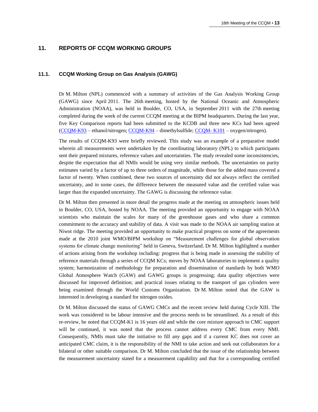#### **11. REPORTS OF CCQM WORKING GROUPS**

#### **11.1. CCQM Working Group on Gas Analysis (GAWG)**

Dr M. Milton (NPL) commenced with a summary of activities of the Gas Analysis Working Group (GAWG) since April 2011. The 26th meeting, hosted by the National Oceanic and Atmospheric Administration (NOAA), was held in Boulder, CO, USA, in September 2011 with the 27th meeting completed during the week of the current CCQM meeting at the BIPM headquarters. During the last year, five Key Comparison reports had been submitted to the KCDB and three new KCs had been agreed [\(CCQM-K93](http://kcdb.bipm.org/appendixB/KCDB_ApB_info.asp?cmp_idy=1145&cmp_cod=CCQM-K93&prov=exalead) – ethanol/nitrogen; [CCQM-K94](http://kcdb.bipm.org/appendixB/KCDB_ApB_info.asp?cmp_idy=1146&cmp_cod=CCQM-K94&prov=exalead) – dimethylsulfide; [CCQM-](http://kcdb.bipm.org/appendixB/KCDB_ApB_info.asp?cmp_idy=1168&cmp_cod=CCQM-K101&prov=exalead) K101 – oxygen/nitrogen).

The results of CCQM-K93 were briefly reviewed. This study was an example of a preparative model wherein all measurements were undertaken by the coordinating laboratory (NPL) to which participants sent their prepared mixtures, reference values and uncertainties. The study revealed some inconsistencies, despite the expectation that all NMIs would be using very similar methods. The uncertainties on purity estimates varied by a factor of up to three orders of magnitude, while those for the added mass covered a factor of twenty. When combined, these two sources of uncertainty did not always reflect the certified uncertainty, and in some cases, the difference between the measured value and the certified value was larger than the expanded uncertainty. The GAWG is discussing the reference value.

Dr M. Milton then presented in more detail the progress made at the meeting on atmospheric issues held in Boulder, CO, USA, hosted by NOAA. The meeting provided an opportunity to engage with NOAA scientists who maintain the scales for many of the greenhouse gases and who share a common commitment to the accuracy and stability of data. A visit was made to the NOAA air sampling station at Niwot ridge. The meeting provided an opportunity to make practical progress on some of the agreements made at the 2010 joint WMO/BIPM workshop on "Measurement challenges for global observation systems for climate change monitoring" held in Geneva, Switzerland. Dr M. Milton highlighted a number of actions arising from the workshop including: progress that is being made in assessing the stability of reference materials through a series of CCQM KCs; moves by NOAA laboratories to implement a quality system; harmonization of methodology for preparation and dissemination of standards by both WMO Global Atmosphere Watch (GAW) and GAWG groups is progressing; data quality objectives were discussed for improved definition; and practical issues relating to the transport of gas cylinders were being examined through the World Customs Organization. Dr M. Milton noted that the GAW is interested in developing a standard for nitrogen oxides.

Dr M. Milton discussed the status of GAWG CMCs and the recent review held during Cycle XIII. The work was considered to be labour intensive and the process needs to be streamlined. As a result of this re-review, he noted that CCQM-K1 is 16 years old and while the core mixture approach to CMC support will be continued, it was noted that the process cannot address every CMC from every NMI. Consequently, NMIs must take the initiative to fill any gaps and if a current KC does not cover an anticipated CMC claim, it is the responsibility of the NMI to take action and seek out collaborators for a bilateral or other suitable comparison. Dr M. Milton concluded that the issue of the relationship between the measurement uncertainty stated for a measurement capability and that for a corresponding certified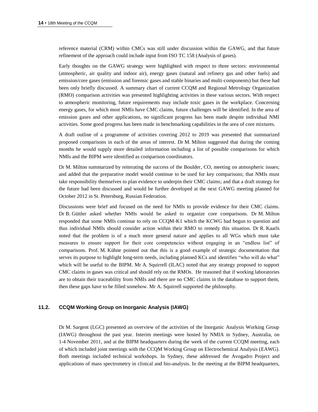reference material (CRM) within CMCs was still under discussion within the GAWG, and that future refinement of the approach could include input from ISO TC 158 (Analysis of gases).

Early thoughts on the GAWG strategy were highlighted with respect to three sectors: environmental (atmospheric, air quality and indoor air), energy gases (natural and refinery gas and other fuels) and emission/core gases (emission and forensic gases and stable binaries and multi-components) but these had been only briefly discussed. A summary chart of current CCQM and Regional Metrology Organization (RMO) comparison activities was presented highlighting activities in these various sectors. With respect to atmospheric monitoring, future requirements may include toxic gases in the workplace. Concerning energy gases, for which most NMIs have CMC claims, future challenges will be identified. In the area of emission gases and other applications, no significant progress has been made despite individual NMI activities. Some good progress has been made in benchmarking capabilities in the area of core mixtures.

A draft outline of a programme of activities covering 2012 to 2019 was presented that summarized proposed comparisons in each of the areas of interest. Dr M. Milton suggested that during the coming months he would supply more detailed information including a list of possible comparisons for which NMIs and the BIPM were identified as comparison coordinators.

Dr M. Milton summarized by reiterating the success of the Boulder, CO, meeting on atmospheric issues; and added that the preparative model would continue to be used for key comparisons; that NMIs must take responsibility themselves to plan evidence to underpin their CMC claims; and that a draft strategy for the future had been discussed and would be further developed at the next GAWG meeting planned for October 2012 in St. Petersburg, Russian Federation.

Discussions were brief and focused on the need for NMIs to provide evidence for their CMC claims. Dr B. Güttler asked whether NMIs would be asked to organize core comparisons. Dr M. Milton responded that some NMIs continue to rely on CCQM-K1 which the KCWG had begun to question and thus individual NMIs should consider action within their RMO to remedy this situation. Dr R. Kaarls noted that the problem is of a much more general nature and applies to all WGs which must take measures to ensure support for their core competencies without engaging in an "endless list" of comparisons. Prof. M. Kühne pointed out that this is a good example of strategic documentation that serves its purpose to highlight long-term needs, including planned KCs and identifies "who will do what" which will be useful to the BIPM. Mr A. Squirrell (ILAC) noted that any strategy proposed to support CMC claims in gases was critical and should rely on the RMOs. He reasoned that if working laboratories are to obtain their traceability from NMIs and there are no CMC claims in the database to support them, then these gaps have to be filled somehow. Mr A. Squirrell supported the philosophy.

#### **11.2. CCQM Working Group on Inorganic Analysis (IAWG)**

Dr M. Sargent (LGC) presented an overview of the activities of the Inorganic Analysis Working Group (IAWG) throughout the past year. Interim meetings were hosted by NMIA in Sydney, Australia, on 1-4 November 2011, and at the BIPM headquarters during the week of the current CCQM meeting, each of which included joint meetings with the CCQM Working Group on Electrochemical Analysis (EAWG). Both meetings included technical workshops. In Sydney, these addressed the Avogadro Project and applications of mass spectrometry in clinical and bio-analysis. In the meeting at the BIPM headquarters,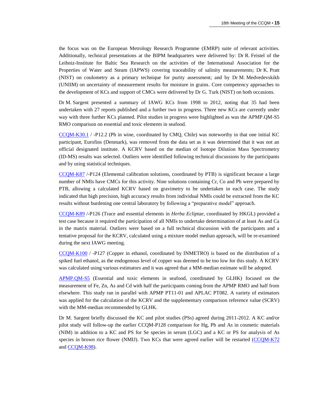the focus was on the European Metrology Research Programme (EMRP) suite of relevant activities. Additionally, technical presentations at the BIPM headquarters were delivered by: Dr R. Feistel of the Leibniz-Institute for Baltic Sea Research on the activities of the International Association for the Properties of Water and Steam (IAPWS) covering traceability of salinity measurements; Dr K. Pratt (NIST) on coulometry as a primary technique for purity assessment; and by Dr M. Medvedevskikh (UNIIM) on uncertainty of measurement results for moisture in grains. Core competency approaches to the development of KCs and support of CMCs were delivered by Dr G. Turk (NIST) on both occasions.

Dr M. Sargent presented a summary of IAWG KCs from 1998 to 2012, noting that 35 had been undertaken with 27 reports published and a further two in progress. Three new KCs are currently under way with three further KCs planned. Pilot studies in progress were highlighted as was the APMP.QM-S5 RMO comparison on essential and toxic elements in seafood.

[CCQM-K30.1](http://kcdb.bipm.org/appendixB/KCDB_ApB_info.asp?cmp_idy=1070&cmp_cod=CCQM-K30.1&prov=exalead) / -P12.2 (Pb in wine, coordinated by CMQ, Chile) was noteworthy in that one initial KC participant, Eurofins (Denmark), was removed from the data set as it was determined that it was not an official designated institute. A KCRV based on the median of Isotope Dilution Mass Spectrometry (ID-MS) results was selected. Outliers were identified following technical discussions by the participants and by using statistical techniques.

[CCQM-K87](http://kcdb.bipm.org/appendixB/KCDB_ApB_info.asp?cmp_idy=1047&cmp_cod=CCQM-K87&prov=exalead) /-P124 (Elemental calibration solutions, coordinated by PTB) is significant because a large number of NMIs have CMCs for this activity. Nine solutions containing Cr, Co and Pb were prepared by PTB, allowing a calculated KCRV based on gravimetry to be undertaken in each case. The study indicated that high precision, high accuracy results from individual NMIs could be extracted from the KC results without burdening one central laboratory by following a "preparative model" approach.

[CCQM-K89](http://kcdb.bipm.org/appendixB/KCDB_ApB_info.asp?cmp_idy=1059&cmp_cod=CCQM-K89&prov=exalead) /-P126 (Trace and essential elements in *Herba Ecliptae*, coordinated by HKGL) provided a test case because it required the participation of all NMIs to undertake determination of at least As and Ca in the matrix material. Outliers were based on a full technical discussion with the participants and a tentative proposal for the KCRV, calculated using a mixture model median approach, will be re-examined during the next IAWG meeting.

[CCQM-K100](http://kcdb.bipm.org/appendixB/KCDB_ApB_info.asp?cmp_idy=1159&cmp_cod=CCQM-K100&prov=exalead) / -P127 (Copper in ethanol, coordinated by INMETRO) is based on the distribution of a spiked fuel ethanol, as the endogenous level of copper was deemed to be too low for this study. A KCRV was calculated using various estimators and it was agreed that a MM-median estimate will be adopted.

[APMP.QM-S5](http://kcdb.bipm.org/appendixB/KCDB_ApB_info.asp?cmp_idy=1155&cmp_cod=APMP.QM-S5&prov=exalead) (Essential and toxic elements in seafood, coordinated by GLHK) focused on the measurement of Fe, Zn, As and Cd with half the participants coming from the APMP RMO and half from elsewhere. This study ran in parallel with APMP PT11-01 and APLAC PT082. A variety of estimators was applied for the calculation of the KCRV and the supplementary comparison reference value (SCRV) with the MM-median recommended by GLHK.

Dr M. Sargent briefly discussed the KC and pilot studies (PSs) agreed during 2011-2012. A KC and/or pilot study will follow-up the earlier CCQM-P128 comparison for Hg, Pb and As in cosmetic materials (NIM) in addition to a KC and PS for Se species in serum (LGC) and a KC or PS for analysis of As species in brown rice flower (NMIJ). Two KCs that were agreed earlier will be restarted [\(CCQM-K72](http://kcdb.bipm.org/appendixB/KCDB_ApB_info.asp?cmp_idy=969&cmp_cod=CCQM-K72&prov=exalead) and [CCQM-K98\)](http://kcdb.bipm.org/appendixB/KCDB_ApB_info.asp?cmp_idy=1150&cmp_cod=CCQM-K98&prov=exalead).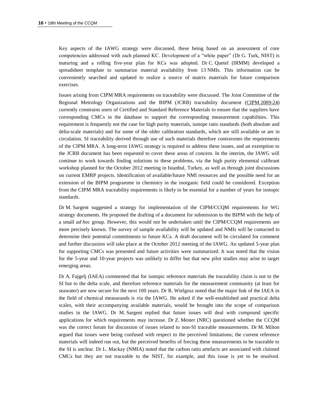Key aspects of the IAWG strategy were discussed, these being based on an assessment of core competencies addressed with each planned KC. Development of a "white paper" (Dr G. Turk, NIST) is maturing and a rolling five-year plan for KCs was adopted. Dr C. Quetel (IRMM) developed a spreadsheet template to summarize material availability from 13 NMIs. This information can be conveniently searched and updated to realize a source of matrix materials for future comparison exercises.

Issues arising from CIPM MRA requirements on traceability were discussed. The Joint Committee of the Regional Metrology Organizations and the BIPM (JCRB) traceability document (CIPM [2009-24\)](https://www.bipm.org/cc/CIPM/Allowed/98/CIPM2009_24_TRAC_MRA_REV_13_OCT_2009.pdf) currently constrains users of Certified and Standard Reference Materials to ensure that the suppliers have corresponding CMCs in the database to support the corresponding measurement capabilities. This requirement is frequently not the case for high purity materials, isotope ratio standards (both absolute and delta-scale materials) and for some of the older calibration standards, which are still available or are in circulation. SI traceability derived through use of such materials therefore contravenes the requirements of the CIPM MRA. A long-term IAWG strategy is required to address these issues, and an exemption to the JCRB document has been requested to cover these areas of concern. In the interim, the IAWG will continue to work towards finding solutions to these problems, via the high purity elemental calibrant workshop planned for the October 2012 meeting in Istanbul, Turkey, as well as through joint discussions on current EMRP projects. Identification of available/future NMI resources and the possible need for an extension of the BIPM programme in chemistry in the inorganic field could be considered. Exception from the CIPM MRA traceability requirements is likely to be essential for a number of years for isotopic standards.

Dr M. Sargent suggested a strategy for implementation of the CIPM/CCQM requirements for WG strategy documents. He proposed the drafting of a document for submission to the BIPM with the help of a small *ad hoc* group. However, this would not be undertaken until the CIPM/CCQM requirements are more precisely known. The survey of sample availability will be updated and NMIs will be contacted to determine their potential commitments to future KCs. A draft document will be circulated for comment and further discussion will take place at the October 2012 meeting of the IAWG. An updated 5-year plan for supporting CMCs was presented and future activities were summarized. It was noted that the vision for the 5-year and 10-year projects was unlikely to differ but that new pilot studies may arise to target emerging areas.

Dr A. Fajgelj (IAEA) commented that for isotopic reference materials the traceability claim is not to the SI but to the delta scale, and therefore reference materials for the measurement community (at least for seawater) are now secure for the next 100 years. Dr R. Wielgosz noted that the major link of the IAEA in the field of chemical measurands is via the IAWG. He asked if the well-established and practical delta scales, with their accompanying available materials, would be brought into the scope of comparison studies in the IAWG. Dr M. Sargent replied that future issues will deal with compound specific applications for which requirements may increase. Dr Z. Mester (NRC) questioned whether the CCQM was the correct forum for discussion of issues related to non-SI traceable measurements. Dr M. Milton argued that issues were being confused with respect to the perceived limitations; the current reference materials will indeed run out, but the perceived benefits of forcing these measurements to be traceable to the SI is unclear. Dr L. Mackay (NMIA) noted that the carbon ratio artefacts are associated with claimed CMCs but they are not traceable to the NIST, for example, and this issue is yet to be resolved.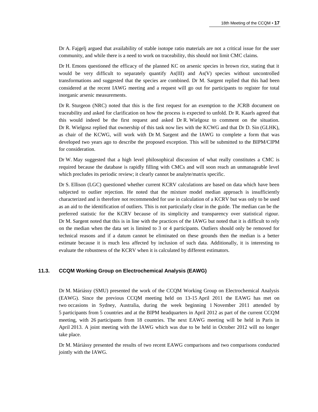Dr A. Fajgelj argued that availability of stable isotope ratio materials are not a critical issue for the user community, and while there is a need to work on traceability, this should not limit CMC claims.

Dr H. Emons questioned the efficacy of the planned KC on arsenic species in brown rice, stating that it would be very difficult to separately quantify As(III) and As(V) species without uncontrolled transformations and suggested that the species are combined. Dr M. Sargent replied that this had been considered at the recent IAWG meeting and a request will go out for participants to register for total inorganic arsenic measurements.

Dr R. Sturgeon (NRC) noted that this is the first request for an exemption to the JCRB document on traceability and asked for clarification on how the process is expected to unfold. Dr R. Kaarls agreed that this would indeed be the first request and asked Dr R. Wielgosz to comment on the situation. Dr R. Wielgosz replied that ownership of this task now lies with the KCWG and that Dr D. Sin (GLHK), as chair of the KCWG, will work with Dr M. Sargent and the IAWG to complete a form that was developed two years ago to describe the proposed exception. This will be submitted to the BIPM/CIPM for consideration.

Dr W. May suggested that a high level philosophical discussion of what really constitutes a CMC is required because the database is rapidly filling with CMCs and will soon reach an unmanageable level which precludes its periodic review; it clearly cannot be analyte/matrix specific.

Dr S. Ellison (LGC) questioned whether current KCRV calculations are based on data which have been subjected to outlier rejection. He noted that the mixture model median approach is insufficiently characterized and is therefore not recommended for use in calculation of a KCRV but was only to be used as an aid to the identification of outliers. This is not particularly clear in the guide. The median can be the preferred statistic for the KCRV because of its simplicity and transparency over statistical rigour. Dr M. Sargent noted that this is in line with the practices of the IAWG but noted that it is difficult to rely on the median when the data set is limited to 3 or 4 participants. Outliers should only be removed for technical reasons and if a datum cannot be eliminated on these grounds then the median is a better estimate because it is much less affected by inclusion of such data. Additionally, it is interesting to evaluate the robustness of the KCRV when it is calculated by different estimators.

#### **11.3. CCQM Working Group on Electrochemical Analysis (EAWG)**

Dr M. Máriássy (SMU) presented the work of the CCQM Working Group on Electrochemical Analysis (EAWG). Since the previous CCQM meeting held on 13-15 April 2011 the EAWG has met on two occasions in Sydney, Australia, during the week beginning 1 November 2011 attended by 5 participants from 5 countries and at the BIPM headquarters in April 2012 as part of the current CCQM meeting, with 26 participants from 18 countries. The next EAWG meeting will be held in Paris in April 2013. A joint meeting with the IAWG which was due to be held in October 2012 will no longer take place.

Dr M. Máriássy presented the results of two recent EAWG comparisons and two comparisons conducted jointly with the IAWG.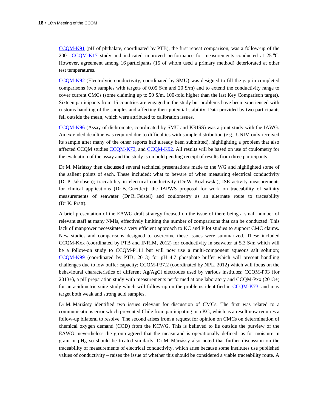[CCQM-K91](http://kcdb.bipm.org/appendixB/KCDB_ApB_info.asp?cmp_idy=1096&cmp_cod=CCQM-K91&prov=exalead) (pH of phthalate, coordinated by PTB), the first repeat comparison, was a follow-up of the 2001 [CCQM-K17](http://kcdb.bipm.org/appendixB/KCDB_ApB_info.asp?cmp_idy=168&cmp_cod=CCQM-K17&prov=exalead) study and indicated improved performance for measurements conducted at  $25^{\circ}$ C. However, agreement among 16 participants (15 of whom used a primary method) deteriorated at other test temperatures.

[CCQM-K92](http://kcdb.bipm.org/appendixB/KCDB_ApB_info.asp?cmp_idy=1097&cmp_cod=CCQM-K92&prov=exalead) (Electrolytic conductivity, coordinated by SMU) was designed to fill the gap in completed comparisons (two samples with targets of 0.05 S/m and 20 S/m) and to extend the conductivity range to cover current CMCs (some claiming up to 50 S/m, 100-fold higher than the last Key Comparison target). Sixteen participants from 15 countries are engaged in the study but problems have been experienced with customs handling of the samples and affecting their potential stability. Data provided by two participants fell outside the mean, which were attributed to calibration issues.

[CCQM-K96](http://kcdb.bipm.org/appendixB/KCDB_ApB_info.asp?cmp_idy=1148&cmp_cod=CCQM-K96&prov=exalead) (Assay of dichromate, coordinated by SMU and KRISS) was a joint study with the IAWG. An extended deadline was required due to difficulties with sample distribution (e.g., UNIM only received its sample after many of the other reports had already been submitted), highlighting a problem that also affected CCQM studies [CCQM-K73,](http://kcdb.bipm.org/appendixB/KCDB_ApB_info.asp?cmp_idy=970&cmp_cod=CCQM-K73&prov=exalead) and [CCQM-K92.](http://kcdb.bipm.org/appendixB/KCDB_ApB_info.asp?cmp_idy=1097&cmp_cod=CCQM-K92&prov=exalead) All results will be based on use of coulometry for the evaluation of the assay and the study is on hold pending receipt of results from three participants.

Dr M. Máriássy then discussed several technical presentations made to the WG and highlighted some of the salient points of each. These included: what to beware of when measuring electrical conductivity (Dr P. Jakobsen); traceability in electrical conductivity (Dr W. Kozlowski); ISE activity measurements for clinical applications (Dr B. Guettler); the IAPWS proposal for work on traceability of salinity measurements of seawater (Dr R. Feistel) and coulometry as an alternate route to traceability (Dr K. Pratt).

A brief presentation of the EAWG draft strategy focused on the issue of there being a small number of relevant staff at many NMIs, effectively limiting the number of comparisons that can be conducted. This lack of manpower necessitates a very efficient approach to KC and Pilot studies to support CMC claims. New studies and comparisons designed to overcome these issues were summarized. These included CCQM-Kxx (coordinated by PTB and INRIM, 2012) for conductivity in seawater at 5.3 S/m which will be a follow-on study to CCQM-P111 but will now use a multi-component aqueous salt solution; [CCQM-K99](http://kcdb.bipm.org/appendixB/KCDB_ApB_info.asp?cmp_idy=1151&cmp_cod=CCQM-K99&prov=exalead) (coordinated by PTB, 2013) for pH 4.7 phosphate buffer which will present handling challenges due to low buffer capacity; CCQM-P37.2 (coordinated by NPL, 2012) which will focus on the behavioural characteristics of different Ag/AgCl electrodes used by various institutes; CCQM-P93 (for 2013+), a pH preparation study with measurements performed at one laboratory and CCQM-Pxx (2013+) for an acidimetric suite study which will follow-up on the problems identified in [CCQM-K73,](http://kcdb.bipm.org/appendixB/KCDB_ApB_info.asp?cmp_idy=970&cmp_cod=CCQM-K73&prov=exalead) and may target both weak and strong acid samples.

Dr M. Máriássy identified two issues relevant for discussion of CMCs. The first was related to a communications error which prevented Chile from participating in a KC, which as a result now requires a follow-up bilateral to resolve. The second arises from a request for opinion on CMCs on determination of chemical oxygen demand (COD) from the KCWG. This is believed to lie outside the purview of the EAWG, nevertheless the group agreed that the measurand is operationally defined, as for moisture in grain or pH<sub>e</sub>, so should be treated similarly. Dr M. Máriássy also noted that further discussion on the traceability of measurements of electrical conductivity, which arise because some institutes use published values of conductivity – raises the issue of whether this should be considered a viable traceability route. A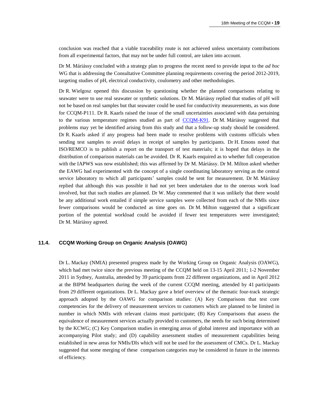conclusion was reached that a viable traceability route is not achieved unless uncertainty contributions from all experimental factors, that may not be under full control, are taken into account.

Dr M. Máriássy concluded with a strategy plan to progress the recent need to provide input to the *ad hoc* WG that is addressing the Consultative Committee planning requirements covering the period 2012-2019, targeting studies of pH, electrical conductivity, coulometry and other methodologies.

Dr R. Wielgosz opened this discussion by questioning whether the planned comparisons relating to seawater were to use real seawater or synthetic solutions. Dr M. Máriássy replied that studies of pH will not be based on real samples but that seawater could be used for conductivity measurements, as was done for CCQM-P111. Dr R. Kaarls raised the issue of the small uncertainties associated with data pertaining to the various temperature regimes studied as part of [CCQM-K91.](http://kcdb.bipm.org/appendixB/KCDB_ApB_info.asp?cmp_idy=1096&cmp_cod=CCQM-K91&prov=exalead) Dr M. Máriássy suggested that problems may yet be identified arising from this study and that a follow-up study should be considered. Dr R. Kaarls asked if any progress had been made to resolve problems with customs officials when sending test samples to avoid delays in receipt of samples by participants. Dr H. Emons noted that ISO/REMCO is to publish a report on the transport of test materials; it is hoped that delays in the distribution of comparison materials can be avoided. Dr R. Kaarls enquired as to whether full cooperation with the IAPWS was now established; this was affirmed by Dr M. Máriássy. Dr M. Milton asked whether the EAWG had experimented with the concept of a single coordinating laboratory serving as the central service laboratory to which all participants' samples could be sent for measurement. Dr M. Máriássy replied that although this was possible it had not yet been undertaken due to the onerous work load involved, but that such studies are planned. Dr W. May commented that it was unlikely that there would be any additional work entailed if simple service samples were collected from each of the NMIs since fewer comparisons would be conducted as time goes on. Dr M. Milton suggested that a significant portion of the potential workload could be avoided if fewer test temperatures were investigated; Dr M. Máriássy agreed.

#### **11.4. CCQM Working Group on Organic Analysis (OAWG)**

Dr L. Mackay (NMIA) presented progress made by the Working Group on Organic Analysis (OAWG), which had met twice since the previous meeting of the CCQM held on 13-15 April 2011; 1-2 November 2011 in Sydney, Australia, attended by 39 participants from 22 different organizations, and in April 2012 at the BIPM headquarters during the week of the current CCQM meeting, attended by 41 participants from 29 different organizations. Dr L. Mackay gave a brief overview of the thematic four-track strategic approach adopted by the OAWG for comparison studies: (A) Key Comparisons that test core competencies for the delivery of measurement services to customers which are planned to be limited in number in which NMIs with relevant claims must participate; (B) Key Comparisons that assess the equivalence of measurement services actually provided to customers, the needs for such being determined by the KCWG; (C) Key Comparison studies in emerging areas of global interest and importance with an accompanying Pilot study; and (D) capability assessment studies of measurement capabilities being established in new areas for NMIs/DIs which will not be used for the assessment of CMCs. Dr L. Mackay suggested that some merging of these comparison categories may be considered in future in the interests of efficiency.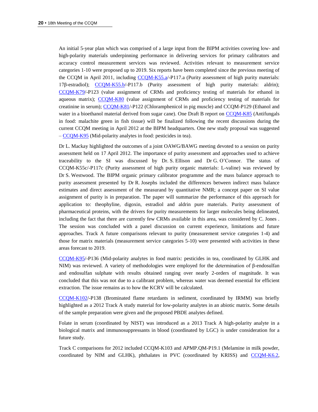An initial 5-year plan which was comprised of a large input from the BIPM activities covering low- and high-polarity materials underpinning performance in delivering services for primary calibrators and accuracy control measurement services was reviewed. Activities relevant to measurement service categories 1-10 were proposed up to 2019. Six reports have been completed since the previous meeting of the CCQM in April 2011, including [CCQM-K55.a/](http://kcdb.bipm.org/appendixB/KCDB_ApB_info.asp?cmp_idy=823&cmp_cod=CCQM-K55.a&prov=exalead)-P117.a (Purity assessment of high purity materials: 17β-estradiol); [CCQM-K55.b/](http://kcdb.bipm.org/appendixB/KCDB_ApB_info.asp?cmp_idy=1071&cmp_cod=CCQM-K55.b&prov=exalead)-P117.b (Purity assessment of high purity materials: aldrin); [CCQM-K79/](http://kcdb.bipm.org/appendixB/KCDB_ApB_info.asp?cmp_idy=1075&cmp_cod=CCQM-K79&prov=exalead)-P123 (value assignment of CRMs and proficiency testing of materials for ethanol in aqueous matrix); [CCQM-K80](http://kcdb.bipm.org/appendixB/KCDB_ApB_info.asp?cmp_idy=1076&cmp_cod=CCQM-K80&prov=exalead) (value assignment of CRMs and proficiency testing of materials for creatinine in serum); [CCQM-K81/](http://kcdb.bipm.org/appendixB/KCDB_ApB_info.asp?cmp_idy=1077&cmp_cod=CCQM-K81&prov=exalead)-P122 (Chloramphenicol in pig muscle) and CCQM-P129 (Ethanol and water in a bioethanol material derived from sugar cane). One Draft B report on [CCQM-K85](http://kcdb.bipm.org/appendixB/KCDB_ApB_info.asp?cmp_idy=1078&cmp_cod=CCQM-K85&prov=exalead) (Antifungals in food: malachite green in fish tissue) will be finalized following the recent discussions during the current CCQM meeting in April 2012 at the BIPM headquarters. One new study proposal was suggested – [CCQM-K95](http://kcdb.bipm.org/appendixB/KCDB_ApB_info.asp?cmp_idy=1147&cmp_cod=CCQM-K95&prov=exalead) (Mid-polarity analytes in food: pesticides in tea).

Dr L. Mackay highlighted the outcomes of a joint OAWG/BAWG meeting devoted to a session on purity assessment held on 17 April 2012. The importance of purity assessment and approaches used to achieve traceability to the SI was discussed by Dr. S. Ellison and Dr G. O'Connor. The status of CCQM-K55c/-P117c (Purity assessment of high purity organic materials: L-valine) was reviewed by Dr S. Westwood. The BIPM organic primary calibrator programme and the mass balance approach to purity assessment presented by Dr R. Josephs included the differences between indirect mass balance estimates and direct assessment of the measurand by quantitative NMR; a concept paper on SI value assignment of purity is in preparation. The paper will summarize the performance of this approach for application to: theophyline, digoxin, estradiol and aldrin pure materials. Purity assessment of pharmaceutical proteins, with the drivers for purity measurements for larger molecules being delineated, including the fact that there are currently few CRMs available in this area, was considered by C. Jones . The session was concluded with a panel discussion on current experience, limitations and future approaches. Track A future comparisons relevant to purity (measurement service categories 1-4) and those for matrix materials (measurement service categories 5-10) were presented with activities in these areas forecast to 2019.

[CCQM-K95/](http://kcdb.bipm.org/appendixB/KCDB_ApB_info.asp?cmp_idy=1147&cmp_cod=CCQM-K95&prov=exalead)-P136 (Mid-polarity analytes in food matrix: pesticides in tea, coordinated by GLHK and NIM) was reviewed. A variety of methodologies were employed for the determination of β-endosulfan and endosulfan sulphate with results obtained ranging over nearly 2-orders of magnitude. It was concluded that this was not due to a calibrant problem, whereas water was deemed essential for efficient extraction. The issue remains as to how the KCRV will be calculated.

[CCQM-K102/](http://kcdb.bipm.org/appendixB/KCDB_ApB_info.asp?cmp_idy=1235&cmp_cod=CCQM-K102&prov=exalead)-P138 (Brominated flame retardants in sediment, coordinated by IRMM) was briefly highlighted as a 2012 Track A study material for low-polarity analytes in an abiotic matrix. Some details of the sample preparation were given and the proposed PBDE analytes defined.

Folate in serum (coordinated by NIST) was introduced as a 2013 Track A high-polarity analyte in a biological matrix and immunosuppressants in blood (coordinated by LGC) is under consideration for a future study.

Track C comparisons for 2012 included CCQM-K103 and APMP.QM-P19.1 (Melamine in milk powder, coordinated by NIM and GLHK), phthalates in PVC (coordinated by KRISS) and [CCQM-K6.2,](http://kcdb.bipm.org/appendixB/KCDB_ApB_info.asp?cmp_idy=1246&cmp_cod=CCQM-K6.2&prov=exalead)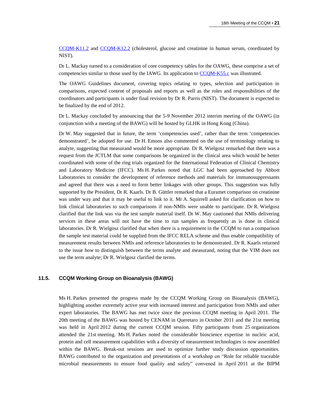[CCQM-K11.2](http://kcdb.bipm.org/appendixB/KCDB_ApB_info.asp?cmp_idy=1247&cmp_cod=CCQM-K11.2&prov=exalead) and [CCQM-K12.2](http://kcdb.bipm.org/appendixB/KCDB_ApB_info.asp?cmp_idy=1248&cmp_cod=CCQM-K12.2&prov=exalead) (cholesterol, glucose and creatinine in human serum, coordinated by NIST).

Dr L. Mackay turned to a consideration of core competency tables for the OAWG, these comprise a set of competencies similar to those used by the IAWG. Its application to [CCQM-K55.c](http://kcdb.bipm.org/appendixB/KCDB_ApB_info.asp?cmp_idy=1072&cmp_cod=CCQM-K55.c&prov=exalead) was illustrated.

The OAWG Guidelines document, covering topics relating to types, selection and participation in comparisons, expected content of proposals and reports as well as the roles and responsibilities of the coordinators and participants is under final revision by Dr R. Parris (NIST). The document is expected to be finalized by the end of 2012.

Dr L. Mackay concluded by announcing that the 5-9 November 2012 interim meeting of the OAWG (in conjunction with a meeting of the BAWG) will be hosted by GLHK in Hong Kong (China).

Dr W. May suggested that in future, the term 'competencies used', rather than the term 'competencies demonstrated', be adopted for use. Dr H. Emons also commented on the use of terminology relating to analyte, suggesting that measurand would be more appropriate. Dr R. Wielgosz remarked that there was a request from the JCTLM that some comparisons be organized in the clinical area which would be better coordinated with some of the ring trials organized for the International Federation of Clinical Chemistry and Laboratory Medicine (IFCC). Ms H. Parkes noted that LGC had been approached by Abbott Laboratories to consider the development of reference methods and materials for immunosuppressants and agreed that there was a need to form better linkages with other groups. This suggestion was fully supported by the President, Dr R. Kaarls. Dr B. Güttler remarked that a Euramet comparison on creatinine was under way and that it may be useful to link to it. Mr A. Squirrell asked for clarification on how to link clinical laboratories to such comparisons if non-NMIs were unable to participate. Dr R. Wielgosz clarified that the link was via the test sample material itself. Dr W. May cautioned that NMIs delivering services in these areas will not have the time to run samples as frequently as is done in clinical laboratories. Dr R. Wielgosz clarified that when there is a requirement in the CCQM to run a comparison the sample test material could be supplied from the IFCC RELA scheme and thus enable compatibility of measurement results between NMIs and reference laboratories to be demonstrated. Dr R. Kaarls returned to the issue how to distinguish between the terms analyte and measurand, noting that the VIM does not use the term analyte; Dr R. Wielgosz clarified the terms.

#### **11.5. CCQM Working Group on Bioanalysis (BAWG)**

Ms H. Parkes presented the progress made by the CCQM Working Group on Bioanalysis (BAWG), highlighting another extremely active year with increased interest and participation from NMIs and other expert laboratories. The BAWG has met twice since the previous CCQM meeting in April 2011. The 20th meeting of the BAWG was hosted by CENAM in Queretaro in October 2011 and the 21st meeting was held in April 2012 during the current CCQM session. Fifty participants from 25 organizations attended the 21st meeting. Ms H. Parkes noted the considerable bioscience expertise in nucleic acid, protein and cell measurement capabilities with a diversity of measurement technologies is now assembled within the BAWG. Break-out sessions are used to optimize further study discussion opportunities. BAWG contributed to the organization and presentations of a workshop on "Role for reliable traceable microbial measurements to ensure food quality and safety" convened in April 2011 at the BIPM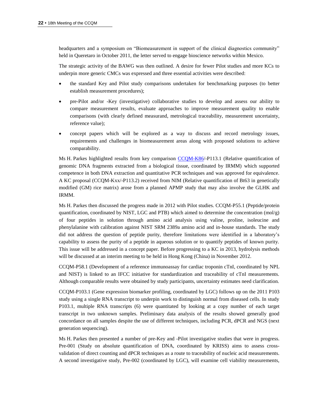headquarters and a symposium on "Biomeasurement in support of the clinical diagnostics community" held in Queretaro in October 2011, the letter served to engage bioscience networks within Mexico.

The strategic activity of the BAWG was then outlined. A desire for fewer Pilot studies and more KCs to underpin more generic CMCs was expressed and three essential activities were described:

- the standard Key and Pilot study comparisons undertaken for benchmarking purposes (to better establish measurement procedures);
- pre-Pilot and/or -Key (investigative) collaborative studies to develop and assess our ability to compare measurement results, evaluate approaches to improve measurement quality to enable comparisons (with clearly defined measurand, metrological traceability, measurement uncertainty, reference value);
- concept papers which will be explored as a way to discuss and record metrology issues, requirements and challenges in biomeasurement areas along with proposed solutions to achieve comparability.

Ms H. Parkes highlighted results from key comparison [CCQM-K86/](http://kcdb.bipm.org/appendixB/KCDB_ApB_info.asp?cmp_idy=1079&cmp_cod=CCQM-K86&prov=exalead)-P113.1 (Relative quantification of genomic DNA fragments extracted from a biological tissue, coordinated by IRMM) which supported competence in both DNA extraction and quantitative PCR techniques and was approved for equivalence. A KC proposal (CCQM-Kxx/-P113.2) received from NIM (Relative quantification of Bt63 in genetically modified (GM) rice matrix) arose from a planned APMP study that may also involve the GLHK and IRMM.

Ms H. Parkes then discussed the progress made in 2012 with Pilot studies. CCQM-P55.1 (Peptide/protein quantification, coordinated by NIST, LGC and PTB) which aimed to determine the concentration (mol/g) of four peptides in solution through amino acid analysis using valine, proline, isoleucine and phenylalanine with calibration against NIST SRM 2389a amino acid and in-house standards. The study did not address the question of peptide purity, therefore limitations were identified in a laboratory's capability to assess the purity of a peptide in aqueous solution or to quantify peptides of known purity. This issue will be addressed in a concept paper. Before progressing to a KC in 2013, hydrolysis methods will be discussed at an interim meeting to be held in Hong Kong (China) in November 2012.

CCQM-P58.1 (Development of a reference immunoassay for cardiac troponin cTnI, coordinated by NPL and NIST) is linked to an IFCC initiative for standardization and traceability of cTnI measurements. Although comparable results were obtained by study participants, uncertainty estimates need clarification.

CCQM-P103.1 (Gene expression biomarker profiling, coordinated by LGC) follows up on the 2011 P103 study using a single RNA transcript to underpin work to distinguish normal from diseased cells. In study P103.1, multiple RNA transcripts (6) were quantitated by looking at a copy number of each target transcript in two unknown samples. Preliminary data analysis of the results showed generally good concordance on all samples despite the use of different techniques, including PCR, dPCR and NGS (next generation sequencing).

Ms H. Parkes then presented a number of pre-Key and -Pilot investigative studies that were in progress. Pre-001 (Study on absolute quantification of DNA, coordinated by KRISS) aims to assess crossvalidation of direct counting and dPCR techniques as a route to traceability of nucleic acid measurements. A second investigative study, Pre-002 (coordinated by LGC), will examine cell viability measurements,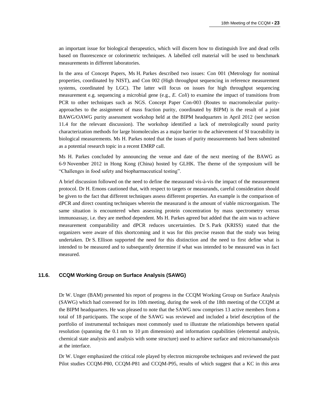an important issue for biological therapeutics, which will discern how to distinguish live and dead cells based on fluorescence or colorimetric techniques. A labelled cell material will be used to benchmark measurements in different laboratories.

In the area of Concept Papers, Ms H. Parkes described two issues: Con 001 (Metrology for nominal properties, coordinated by NIST), and Con 002 (High throughput sequencing in reference measurement systems, coordinated by LGC). The latter will focus on issues for high throughput sequencing measurement e.g. sequencing a microbial gene (e.g., *E. Coli*) to examine the impact of transitions from PCR to other techniques such as NGS. Concept Paper Con-003 (Routes to macromolecular purityapproaches to the assignment of mass fraction purity, coordinated by BIPM) is the result of a joint BAWG/OAWG purity assessment workshop held at the BIPM headquarters in April 2012 (see section 11.4 for the relevant discussion). The workshop identified a lack of metrologically sound purity characterization methods for large biomolecules as a major barrier to the achievement of SI traceability in biological measurements. Ms H. Parkes noted that the issues of purity measurements had been submitted as a potential research topic in a recent EMRP call.

Ms H. Parkes concluded by announcing the venue and date of the next meeting of the BAWG as 6-9 November 2012 in Hong Kong (China) hosted by GLHK. The theme of the symposium will be "Challenges in food safety and biopharmaceutical testing".

A brief discussion followed on the need to define the measurand vis-à-vis the impact of the measurement protocol. Dr H. Emons cautioned that, with respect to targets or measurands, careful consideration should be given to the fact that different techniques assess different properties. An example is the comparison of dPCR and direct counting techniques wherein the measurand is the amount of viable microorganism. The same situation is encountered when assessing protein concentration by mass spectrometry versus immunoassay, i.e. they are method dependent. Ms H. Parkes agreed but added that the aim was to achieve measurement comparability and dPCR reduces uncertainties. Dr S. Park (KRISS) stated that the organizers were aware of this shortcoming and it was for this precise reason that the study was being undertaken. Dr S. Ellison supported the need for this distinction and the need to first define what is intended to be measured and to subsequently determine if what was intended to be measured was in fact measured.

#### **11.6. CCQM Working Group on Surface Analysis (SAWG)**

Dr W. Unger (BAM) presented his report of progress in the CCQM Working Group on Surface Analysis (SAWG) which had convened for its 10th meeting, during the week of the 18th meeting of the CCQM at the BIPM headquarters. He was pleased to note that the SAWG now comprises 13 active members from a total of 18 participants. The scope of the SAWG was reviewed and included a brief description of the portfolio of instrumental techniques most commonly used to illustrate the relationships between spatial resolution (spanning the 0.1 nm to 10 µm dimension) and information capabilities (elemental analysis, chemical state analysis and analysis with some structure) used to achieve surface and micro/nanoanalysis at the interface.

Dr W. Unger emphasized the critical role played by electron microprobe techniques and reviewed the past Pilot studies CCQM-P80, CCQM-P81 and CCQM-P95, results of which suggest that a KC in this area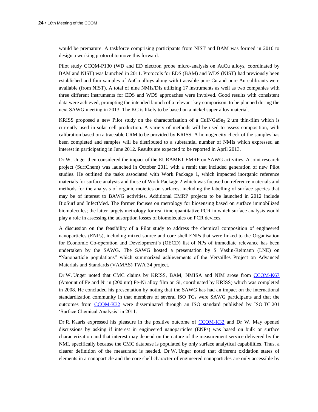would be premature. A taskforce comprising participants from NIST and BAM was formed in 2010 to design a working protocol to move this forward.

Pilot study CCQM-P130 (WD and ED electron probe micro-analysis on AuCu alloys, coordinated by BAM and NIST) was launched in 2011. Protocols for EDS (BAM) and WDS (NIST) had previously been established and four samples of AuCu alloys along with traceable pure Cu and pure Au calibrants were available (from NIST). A total of nine NMIs/DIs utilizing 17 instruments as well as two companies with three different instruments for EDS and WDS approaches were involved. Good results with consistent data were achieved, prompting the intended launch of a relevant key comparison, to be planned during the next SAWG meeting in 2013. The KC is likely to be based on a nickel super alloy material.

KRISS proposed a new Pilot study on the characterization of a CuINGaSe<sub>2</sub> 2  $\mu$ m thin-film which is currently used in solar cell production. A variety of methods will be used to assess composition, with calibration based on a traceable CRM to be provided by KRISS. A homogeneity check of the samples has been completed and samples will be distributed to a substantial number of NMIs which expressed an interest in participating in June 2012. Results are expected to be reported in April 2013.

Dr W. Unger then considered the impact of the EURAMET EMRP on SAWG activities. A joint research project (SurfChem) was launched in October 2011 with a remit that included generation of new Pilot studies. He outlined the tasks associated with Work Package 1, which impacted inorganic reference materials for surface analysis and those of Work Package 2 which was focused on reference materials and methods for the analysis of organic moieties on surfaces, including the labelling of surface species that may be of interest to BAWG activities. Additional EMRP projects to be launched in 2012 include BioSurf and InfectMed. The former focuses on metrology for biosensing based on surface immobilized biomolecules; the latter targets metrology for real time quantitative PCR in which surface analysis would play a role in assessing the adsorption losses of biomolecules on PCR devices.

A discussion on the feasibility of a Pilot study to address the chemical composition of engineered nanoparticles (ENPs), including mixed source and core shell ENPs that were linked to the Organisation for Economic Co-operation and Development's (OECD) list of NPs of immediate relevance has been undertaken by the SAWG. The SAWG hosted a presentation by S Vaslin-Reimann (LNE) on "Nanoparticle populations" which summarized achievements of the Versailles Project on Advanced Materials and Standards (VAMAS) TWA 34 project.

Dr W. Unger noted that CMC claims by KRISS, BAM, NMISA and NIM arose from [CCQM-K67](http://kcdb.bipm.org/appendixB/KCDB_ApB_info.asp?cmp_idy=917&cmp_cod=CCQM-K67&prov=exalead) (Amount of Fe and Ni in (200 nm) Fe-Ni alloy film on Si, coordinated by KRISS) which was completed in 2008. He concluded his presentation by noting that the SAWG has had an impact on the international standardization community in that members of several ISO TCs were SAWG participants and that the outcomes from [CCQM-K32](http://kcdb.bipm.org/appendixB/KCDB_ApB_info.asp?cmp_idy=550&cmp_cod=CCQM-K32&prov=exalead) were disseminated through an ISO standard published by ISO TC 201 'Surface Chemical Analysis' in 2011.

Dr R. Kaarls expressed his pleasure in the positive outcome of [CCQM-K32](http://kcdb.bipm.org/appendixB/KCDB_ApB_info.asp?cmp_idy=550&cmp_cod=CCQM-K32&prov=exalead) and Dr W. May opened discussions by asking if interest in engineered nanoparticles (ENPs) was based on bulk or surface characterization and that interest may depend on the nature of the measurement service delivered by the NMI, specifically because the CMC database is populated by only surface analytical capabilities. Thus, a clearer definition of the measurand is needed. Dr W. Unger noted that different oxidation states of elements in a nanoparticle and the core shell character of engineered nanoparticles are only accessible by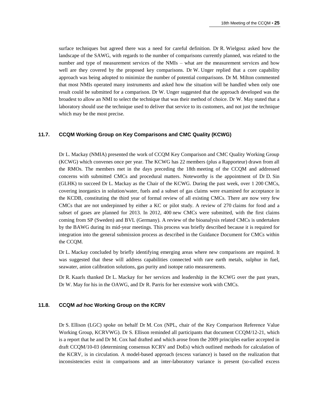surface techniques but agreed there was a need for careful definition. Dr R. Wielgosz asked how the landscape of the SAWG, with regards to the number of comparisons currently planned, was related to the number and type of measurement services of the NMIs – what are the measurement services and how well are they covered by the proposed key comparisons. Dr W. Unger replied that a core capability approach was being adopted to minimize the number of potential comparisons. Dr M. Milton commented that most NMIs operated many instruments and asked how the situation will be handled when only one result could be submitted for a comparison. Dr W. Unger suggested that the approach developed was the broadest to allow an NMI to select the technique that was their method of choice. Dr W. May stated that a laboratory should use the technique used to deliver that service to its customers, and not just the technique which may be the most precise.

#### **11.7. CCQM Working Group on Key Comparisons and CMC Quality (KCWG)**

Dr L. Mackay (NMIA) presented the work of CCQM Key Comparison and CMC Quality Working Group (KCWG) which convenes once per year. The KCWG has 22 members (plus a Rapporteur) drawn from all the RMOs. The members met in the days preceding the 18th meeting of the CCQM and addressed concerns with submitted CMCs and procedural matters. Noteworthy is the appointment of Dr D. Sin (GLHK) to succeed Dr L. Mackay as the Chair of the KCWG. During the past week, over 1 200 CMCs, covering inorganics in solution/water, fuels and a subset of gas claims were examined for acceptance in the KCDB, constituting the third year of formal review of all existing CMCs. There are now very few CMCs that are not underpinned by either a KC or pilot study. A review of 270 claims for food and a subset of gases are planned for 2013. In 2012, 400 new CMCs were submitted, with the first claims coming from SP (Sweden) and BVL (Germany). A review of the bioanalysis related CMCs is undertaken by the BAWG during its mid-year meetings. This process was briefly described because it is required for integration into the general submission process as described in the Guidance Document for CMCs within the CCQM.

Dr L. Mackay concluded by briefly identifying emerging areas where new comparisons are required. It was suggested that these will address capabilities connected with rare earth metals, sulphur in fuel, seawater, anion calibration solutions, gas purity and isotope ratio measurements.

Dr R. Kaarls thanked Dr L. Mackay for her services and leadership in the KCWG over the past years, Dr W. May for his in the OAWG, and Dr R. Parris for her extensive work with CMCs.

#### **11.8. CCQM** *ad hoc* **Working Group on the KCRV**

Dr S. Ellison (LGC) spoke on behalf Dr M. Cox (NPL, chair of the Key Comparison Reference Value Working Group, KCRVWG). Dr S. Ellison reminded all participants that document CCQM/12-21, which is a report that he and Dr M. Cox had drafted and which arose from the 2009 principles earlier accepted in draft CCQM/10-03 (determining consensus KCRV and DoEs) which outlined methods for calculation of the KCRV, is in circulation. A model-based approach (excess variance) is based on the realization that inconsistencies exist in comparisons and an inter-laboratory variance is present (so-called excess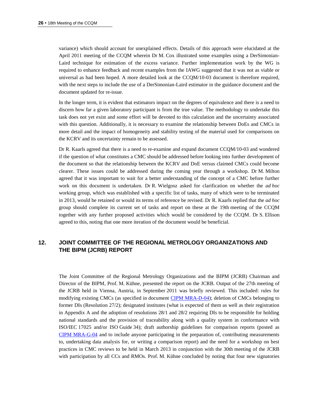variance) which should account for unexplained effects. Details of this approach were elucidated at the April 2011 meeting of the CCQM wherein Dr M. Cox illustrated some examples using a DerSimonian-Laird technique for estimation of the excess variance. Further implementation work by the WG is required to enhance feedback and recent examples from the IAWG suggested that it was not as viable or universal as had been hoped. A more detailed look at the CCQM/10-03 document is therefore required, with the next steps to include the use of a DerSimonian-Laird estimator in the guidance document and the document updated for re-issue.

In the longer term, it is evident that estimators impact on the degrees of equivalence and there is a need to discern how far a given laboratory participant is from the true value. The methodology to undertake this task does not yet exist and some effort will be devoted to this calculation and the uncertainty associated with this question. Additionally, it is necessary to examine the relationship between DoEs and CMCs in more detail and the impact of homogeneity and stability testing of the material used for comparisons on the KCRV and its uncertainty remain to be assessed.

Dr R. Kaarls agreed that there is a need to re-examine and expand document CCQM/10-03 and wondered if the question of what constitutes a CMC should be addressed before looking into further development of the document so that the relationship between the KCRV and DoE versus claimed CMCs could become clearer. These issues could be addressed during the coming year through a workshop. Dr M. Milton agreed that it was important to wait for a better understanding of the concept of a CMC before further work on this document is undertaken. Dr R. Wielgosz asked for clarification on whether the *ad hoc* working group, which was established with a specific list of tasks, many of which were to be terminated in 2013, would be retained or would its terms of reference be revised. Dr R. Kaarls replied that the *ad hoc* group should complete its current set of tasks and report on these at the 19th meeting of the CCQM together with any further proposed activities which would be considered by the CCQM. Dr S. Ellison agreed to this, noting that one more iteration of the document would be beneficial.

# **12. JOINT COMMITTEE OF THE REGIONAL METROLOGY ORGANIZATIONS AND THE BIPM (JCRB) REPORT**

The Joint Committee of the Regional Metrology Organizations and the BIPM (JCRB) Chairman and Director of the BIPM, Prof. M. Kühne, presented the report on the JCRB. Output of the 27th meeting of the JCRB held in Vienna, Austria, in September 2011 was briefly reviewed. This included: rules for modifying existing CMCs (as specified in document [CIPM MRA-D-04\)](https://www.bipm.org/utils/common/CIPM_MRA/CIPM_MRA-D-04.pdf); deletion of CMCs belonging to former DIs (Resolution 27/2); designated institutes (what is expected of them as well as their registration in Appendix A and the adoption of resolutions 28/1 and 28/2 requiring DIs to be responsible for holding national standards and the provision of traceability along with a quality system in conformance with ISO/IEC 17025 and/or ISO Guide 34); draft authorship guidelines for comparison reports (posted as [CIPM MRA-G-04](https://www.bipm.org/utils/common/CIPM_MRA/CIPM_MRA-G-04.pdf) and to include anyone participating in the preparation of, contributing measurements to, undertaking data analysis for, or writing a comparison report) and the need for a workshop on best practices in CMC reviews to be held in March 2013 in conjunction with the 30th meeting of the JCRB with participation by all CCs and RMOs. Prof. M. Kühne concluded by noting that four new signatories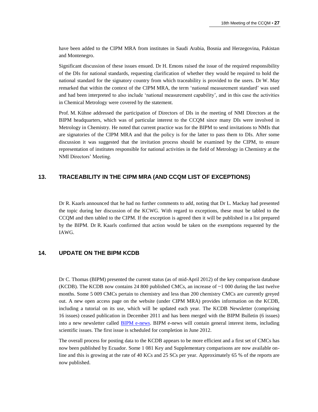have been added to the CIPM MRA from institutes in Saudi Arabia, Bosnia and Herzegovina, Pakistan and Montenegro.

Significant discussion of these issues ensued. Dr H. Emons raised the issue of the required responsibility of the DIs for national standards, requesting clarification of whether they would be required to hold the national standard for the signatory country from which traceability is provided to the users. Dr W. May remarked that within the context of the CIPM MRA, the term 'national measurement standard' was used and had been interpreted to also include 'national measurement capability', and in this case the activities in Chemical Metrology were covered by the statement.

Prof. M. Kühne addressed the participation of Directors of DIs in the meeting of NMI Directors at the BIPM headquarters, which was of particular interest to the CCQM since many DIs were involved in Metrology in Chemistry. He noted that current practice was for the BIPM to send invitations to NMIs that are signatories of the CIPM MRA and that the policy is for the latter to pass them to DIs. After some discussion it was suggested that the invitation process should be examined by the CIPM, to ensure representation of institutes responsible for national activities in the field of Metrology in Chemistry at the NMI Directors' Meeting.

## **13. TRACEABILITY IN THE CIPM MRA (AND CCQM LIST OF EXCEPTIONS)**

Dr R. Kaarls announced that he had no further comments to add, noting that Dr L. Mackay had presented the topic during her discussion of the KCWG. With regard to exceptions, these must be tabled to the CCQM and then tabled to the CIPM. If the exception is agreed then it will be published in a list prepared by the BIPM. Dr R. Kaarls confirmed that action would be taken on the exemptions requested by the IAWG.

## **14. UPDATE ON THE BIPM KCDB**

Dr C. Thomas (BIPM) presented the current status (as of mid-April 2012) of the key comparison database (KCDB). The KCDB now contains 24 800 published CMCs, an increase of  $\sim$ 1 000 during the last twelve months. Some 5 009 CMCs pertain to chemistry and less than 200 chemistry CMCs are currently greyed out. A new open access page on the website (under CIPM MRA) provides information on the KCDB, including a tutorial on its use, which will be updated each year. The KCDB Newsletter (comprising 16 issues) ceased publication in December 2011 and has been merged with the BIPM Bulletin (6 issues) into a new newsletter called **BIPM** e-news. BIPM e-news will contain general interest items, including scientific issues. The first issue is scheduled for completion in June 2012.

The overall process for posting data to the KCDB appears to be more efficient and a first set of CMCs has now been published by Ecuador. Some 1 081 Key and Supplementary comparisons are now available online and this is growing at the rate of 40 KCs and 25 SCs per year. Approximately 65 % of the reports are now published.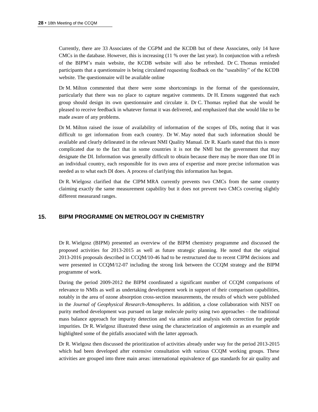Currently, there are 33 Associates of the CGPM and the KCDB but of these Associates, only 14 have CMCs in the database. However, this is increasing (11 % over the last year). In conjunction with a refresh of the BIPM's main website, the KCDB website will also be refreshed. Dr C. Thomas reminded participants that a questionnaire is being circulated requesting feedback on the "useability" of the KCDB website. The questionnaire will be available online

Dr M. Milton commented that there were some shortcomings in the format of the questionnaire, particularly that there was no place to capture negative comments. Dr H. Emons suggested that each group should design its own questionnaire and circulate it. Dr C. Thomas replied that she would be pleased to receive feedback in whatever format it was delivered, and emphasized that she would like to be made aware of any problems.

Dr M. Milton raised the issue of availability of information of the scopes of DIs, noting that it was difficult to get information from each country. Dr W. May noted that such information should be available and clearly delineated in the relevant NMI Quality Manual. Dr R. Kaarls stated that this is more complicated due to the fact that in some countries it is not the NMI but the government that may designate the DI. Information was generally difficult to obtain because there may be more than one DI in an individual country, each responsible for its own area of expertise and more precise information was needed as to what each DI does. A process of clarifying this information has begun.

Dr R. Wielgosz clarified that the CIPM MRA currently prevents two CMCs from the same country claiming exactly the same measurement capability but it does not prevent two CMCs covering slightly different measurand ranges.

## **15. BIPM PROGRAMME ON METROLOGY IN CHEMISTRY**

Dr R. Wielgosz (BIPM) presented an overview of the BIPM chemistry programme and discussed the proposed activities for 2013-2015 as well as future strategic planning. He noted that the original 2013-2016 proposals described in CCQM/10-46 had to be restructured due to recent CIPM decisions and were presented in CCQM/12-07 including the strong link between the CCQM strategy and the BIPM programme of work.

During the period 2009-2012 the BIPM coordinated a significant number of CCQM comparisons of relevance to NMIs as well as undertaking development work in support of their comparison capabilities, notably in the area of ozone absorption cross-section measurements, the results of which were published in the *Journal of Geophysical Research-Atmospheres*. In addition, a close collaboration with NIST on purity method development was pursued on large molecule purity using two approaches – the traditional mass balance approach for impurity detection and via amino acid analysis with correction for peptide impurities. Dr R. Wielgosz illustrated these using the characterization of angiotensin as an example and highlighted some of the pitfalls associated with the latter approach.

Dr R. Wielgosz then discussed the prioritization of activities already under way for the period 2013-2015 which had been developed after extensive consultation with various CCQM working groups. These activities are grouped into three main areas: international equivalence of gas standards for air quality and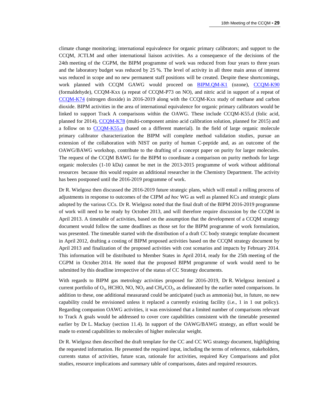climate change monitoring; international equivalence for organic primary calibrators; and support to the CCQM, JCTLM and other international liaison activities. As a consequence of the decisions of the 24th meeting of the CGPM, the BIPM programme of work was reduced from four years to three years and the laboratory budget was reduced by 25 %. The level of activity in all three main areas of interest was reduced in scope and no new permanent staff positions will be created. Despite these shortcomings, work planned with CCQM GAWG would proceed on [BIPM.QM-K1](http://kcdb.bipm.org/appendixB/KCDB_ApB_info.asp?cmp_idy=733&cmp_cod=BIPM.QM-K1&prov=exalead) (ozone), [CCQM-K90](http://kcdb.bipm.org/appendixB/KCDB_ApB_info.asp?cmp_idy=1095&cmp_cod=CCQM-K90&prov=exalead) (formaldehyde), CCQM-Kxx (a repeat of CCQM-P73 on NO), and nitric acid in support of a repeat of [CCQM-K74](http://kcdb.bipm.org/appendixB/KCDB_ApB_info.asp?cmp_idy=968&cmp_cod=CCQM-K74&prov=exalead) (nitrogen dioxide) in 2016-2019 along with the CCQM-Kxx study of methane and carbon dioxide. BIPM activities in the area of international equivalence for organic primary calibrators would be linked to support Track A comparisons within the OAWG. These include CCQM-K55.d (folic acid, planned for 2014), [CCQM-K78](http://kcdb.bipm.org/appendixB/KCDB_ApB_info.asp?cmp_idy=1074&cmp_cod=CCQM-K78&prov=exalead) (multi-component amino acid calibration solution, planned for 2015) and a follow on to [CCQM-K55.a](http://kcdb.bipm.org/appendixB/KCDB_ApB_info.asp?cmp_idy=823&cmp_cod=CCQM-K55.a&prov=exalead) (based on a different material). In the field of large organic molecule primary calibrator characterization the BIPM will complete method validation studies, pursue an extension of the collaboration with NIST on purity of human C-peptide and, as an outcome of the OAWG/BAWG workshop, contribute to the drafting of a concept paper on purity for larger molecules. The request of the CCQM BAWG for the BIPM to coordinate a comparison on purity methods for large organic molecules (1-10 kDa) cannot be met in the 2013-2015 programme of work without additional resources because this would require an additional researcher in the Chemistry Department. The activity has been postponed until the 2016-2019 programme of work.

Dr R. Wielgosz then discussed the 2016-2019 future strategic plans, which will entail a rolling process of adjustments in response to outcomes of the CIPM *ad hoc* WG as well as planned KCs and strategic plans adopted by the various CCs. Dr R. Wielgosz noted that the final draft of the BIPM 2016-2019 programme of work will need to be ready by October 2013, and will therefore require discussion by the CCQM in April 2013. A timetable of activities, based on the assumption that the development of a CCQM strategy document would follow the same deadlines as those set for the BIPM programme of work formulation, was presented. The timetable started with the distribution of a draft CC body strategic template document in April 2012, drafting a costing of BIPM proposed activities based on the CCQM strategy document by April 2013 and finalization of the proposed activities with cost scenarios and impacts by February 2014. This information will be distributed to Member States in April 2014, ready for the 25th meeting of the CGPM in October 2014. He noted that the proposed BIPM programme of work would need to be submitted by this deadline irrespective of the status of CC Strategy documents.

With regards to BIPM gas metrology activities proposed for 2016-2019, Dr R. Wielgosz itemized a current portfolio of  $O_3$ , HCHO, NO, NO<sub>2</sub> and CH<sub>4</sub>/CO<sub>2</sub>, as delineated by the earlier noted comparisons. In addition to these, one additional measurand could be anticipated (such as ammonia) but, in future, no new capability could be envisioned unless it replaced a currently existing facility (i.e., 1 in 1 out policy). Regarding companion OAWG activities, it was envisioned that a limited number of comparisons relevant to Track A goals would be addressed to cover core capabilities consistent with the timetable presented earlier by Dr L. Mackay (section 11.4). In support of the OAWG/BAWG strategy, an effort would be made to extend capabilities to molecules of higher molecular weight.

Dr R. Wielgosz then described the draft template for the CC and CC WG strategy document, highlighting the requested information. He presented the required input, including the terms of reference, stakeholders, currents status of activities, future scan, rationale for activities, required Key Comparisons and pilot studies, resource implications and summary table of comparisons, dates and required resources.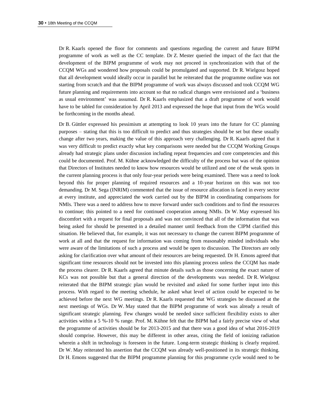Dr R. Kaarls opened the floor for comments and questions regarding the current and future BIPM programme of work as well as the CC template. Dr Z. Mester queried the impact of the fact that the development of the BIPM programme of work may not proceed in synchronization with that of the CCQM WGs and wondered how proposals could be promulgated and supported. Dr R. Wielgosz hoped that all development would ideally occur in parallel but he reiterated that the programme outline was not starting from scratch and that the BIPM programme of work was always discussed and took CCQM WG future planning and requirements into account so that no radical changes were envisioned and a 'business as usual environment' was assumed. Dr R. Kaarls emphasized that a draft programme of work would have to be tabled for consideration by April 2013 and expressed the hope that input from the WGs would be forthcoming in the months ahead.

Dr B. Güttler expressed his pessimism at attempting to look 10 years into the future for CC planning purposes – stating that this is too difficult to predict and thus strategies should be set but these usually change after two years, making the value of this approach very challenging. Dr R. Kaarls agreed that it was very difficult to predict exactly what key comparisons were needed but the CCQM Working Groups already had strategic plans under discussion including repeat frequencies and core competencies and this could be documented. Prof. M. Kühne acknowledged the difficulty of the process but was of the opinion that Directors of Institutes needed to know how resources would be utilized and one of the weak spots in the current planning process is that only four-year periods were being examined. There was a need to look beyond this for proper planning of required resources and a 10-year horizon on this was not too demanding. Dr M. Sega (INRIM) commented that the issue of resource allocation is faced in every sector at every institute, and appreciated the work carried out by the BIPM in coordinating comparisons for NMIs. There was a need to address how to move forward under such conditions and to find the resources to continue; this pointed to a need for continued cooperation among NMIs. Dr W. May expressed his discomfort with a request for final proposals and was not convinced that all of the information that was being asked for should be presented in a detailed manner until feedback from the CIPM clarified this situation. He believed that, for example, it was not necessary to change the current BIPM programme of work at all and that the request for information was coming from reasonably minded individuals who were aware of the limitations of such a process and would be open to discussion. The Directors are only asking for clarification over what amount of their resources are being requested. Dr H. Emons agreed that significant time resources should not be invested into this planning process unless the CCQM has made the process clearer. Dr R. Kaarls agreed that minute details such as those concerning the exact nature of KCs was not possible but that a general direction of the developments was needed. Dr R. Wielgosz reiterated that the BIPM strategic plan would be revisited and asked for some further input into this process. With regard to the meeting schedule, he asked what level of action could be expected to be achieved before the next WG meetings. Dr R. Kaarls requested that WG strategies be discussed at the next meetings of WGs. Dr W. May stated that the BIPM programme of work was already a result of significant strategic planning. Few changes would be needed since sufficient flexibility exists to alter activities within a 5 %-10 % range. Prof. M. Kühne felt that the BIPM had a fairly precise view of what the programme of activities should be for 2013-2015 and that there was a good idea of what 2016-2019 should comprise. However, this may be different in other areas, citing the field of ionizing radiation wherein a shift in technology is foreseen in the future. Long-term strategic thinking is clearly required. Dr W. May reiterated his assertion that the CCQM was already well-positioned in its strategic thinking. Dr H. Emons suggested that the BIPM programme planning for this programme cycle would need to be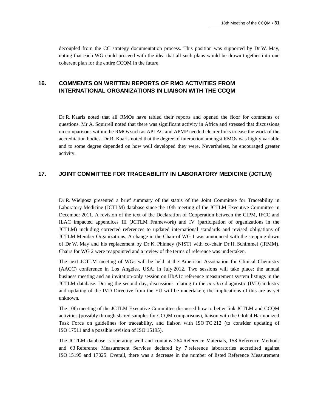decoupled from the CC strategy documentation process. This position was supported by Dr W. May, noting that each WG could proceed with the idea that all such plans would be drawn together into one coherent plan for the entire CCQM in the future.

# **16. COMMENTS ON WRITTEN REPORTS OF RMO ACTIVITIES FROM INTERNATIONAL ORGANIZATIONS IN LIAISON WITH THE CCQM**

Dr R. Kaarls noted that all RMOs have tabled their reports and opened the floor for comments or questions. Mr A. Squirrell noted that there was significant activity in Africa and stressed that discussions on comparisons within the RMOs such as APLAC and APMP needed clearer links to ease the work of the accreditation bodies. Dr R. Kaarls noted that the degree of interaction amongst RMOs was highly variable and to some degree depended on how well developed they were. Nevertheless, he encouraged greater activity.

#### **17. JOINT COMMITTEE FOR TRACEABILITY IN LABORATORY MEDICINE (JCTLM)**

Dr R. Wielgosz presented a brief summary of the status of the Joint Committee for Traceability in Laboratory Medicine (JCTLM) database since the 10th meeting of the JCTLM Executive Committee in December 2011. A revision of the text of the Declaration of Cooperation between the CIPM, IFCC and ILAC impacted appendices III (JCTLM Framework) and IV (participation of organizations in the JCTLM) including corrected references to updated international standards and revised obligations of JCTLM Member Organizations. A change in the Chair of WG 1 was announced with the stepping-down of Dr W. May and his replacement by Dr K. Phinney (NIST) with co-chair Dr H. Schimmel (IRMM). Chairs for WG 2 were reappointed and a review of the terms of reference was undertaken.

The next JCTLM meeting of WGs will be held at the American Association for Clinical Chemistry (AACC) conference in Los Angeles, USA, in July 2012. Two sessions will take place: the annual business meeting and an invitation-only session on HbA1c reference measurement system listings in the JCTLM database. During the second day, discussions relating to the *in vitro* diagnostic (IVD) industry and updating of the IVD Directive from the EU will be undertaken; the implications of this are as yet unknown.

The 10th meeting of the JCTLM Executive Committee discussed how to better link JCTLM and CCQM activities (possibly through shared samples for CCQM comparisons), liaison with the Global Harmonized Task Force on guidelines for traceability, and liaison with ISO TC 212 (to consider updating of ISO 17511 and a possible revision of ISO 15195).

The JCTLM database is operating well and contains 264 Reference Materials, 158 Reference Methods and 63 Reference Measurement Services declared by 7 reference laboratories accredited against ISO 15195 and 17025. Overall, there was a decrease in the number of listed Reference Measurement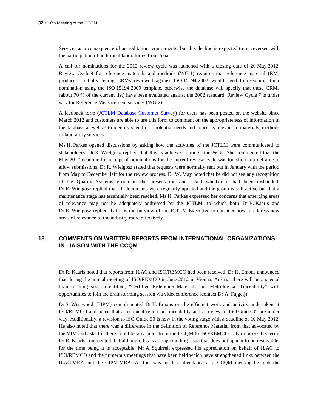Services as a consequence of accreditation requirements, but this decline is expected to be reversed with the participation of additional laboratories from Asia.

A call for nominations for the 2012 review cycle was launched with a closing date of 20 May 2012. Review Cycle 9 for reference materials and methods (WG 1) requires that reference material (RM) producers initially listing CRMs reviewed against ISO 15194:2002 would need to re-submit their nomination using the ISO 15194:2009 template, otherwise the database will specify that these CRMs (about 70 % of the current list) have been evaluated against the 2002 standard. Review Cycle 7 is under way for Reference Measurement services (WG 2).

A feedback form [\(JCTLM Database Customer Survey\)](https://www.bipm.org/jctlm/fillFormulaire.do?nice_border=1) for users has been posted on the website since March 2012 and customers are able to use this form to comment on the appropriateness of information in the database as well as to identify specific or potential needs and concerns relevant to materials, methods or laboratory services.

Ms H. Parkes opened discussions by asking how the activities of the JCTLM were communicated to stakeholders. Dr R. Wielgosz replied that this is achieved through the WGs. She commented that the May 2012 deadline for receipt of nominations for the current review cycle was too short a timeframe to allow submissions. Dr R. Wielgosz stated that requests were normally sent out in January with the period from May to December left for the review process. Dr W. May noted that he did not see any recognition of the Quality Systems group in the presentation and asked whether it had been disbanded. Dr R. Wielgosz replied that all documents were regularly updated and the group is still active but that a maintenance stage has essentially been reached. Ms H. Parkes expressed her concerns that emerging areas of relevance may not be adequately addressed by the JCTLM, to which both Dr R. Kaarls and Dr R. Wielgosz replied that it is the purview of the JCTLM Executive to consider how to address new areas of relevance to the industry more effectively.

# **18. COMMENTS ON WRITTEN REPORTS FROM INTERNATIONAL ORGANIZATIONS IN LIAISON WITH THE CCQM**

Dr R. Kaarls noted that reports from ILAC and ISO/REMCO had been received. Dr H. Emons announced that during the annual meeting of ISO/REMCO in June 2012 in Vienna, Austria, there will be a special brainstorming session entitled, "Certified Reference Materials and Metrological Traceability" with opportunities to join the brainstorming session via videoconference (contact Dr A. Fajgelj).

Dr S. Westwood (BIPM) complimented Dr H. Emons on the efficient work and activity undertaken at ISO/REMCO and noted that a technical report on traceability and a review of ISO Guide 35 are under way. Additionally, a revision to ISO Guide 30 is now in the voting stage with a deadline of 10 May 2012. He also noted that there was a difference in the definition of Reference Material from that advocated by the VIM and asked if there could be any input from the CCQM to ISO/REMCO to harmonize this term. Dr R. Kaarls commented that although this is a long-standing issue that does not appear to be resolvable, for the time being it is acceptable. Mr A. Squirrell expressed his appreciation on behalf of ILAC to ISO/REMCO and the numerous meetings that have been held which have strengthened links between the ILAC MRA and the CIPM MRA. As this was his last attendance at a CCQM meeting he took the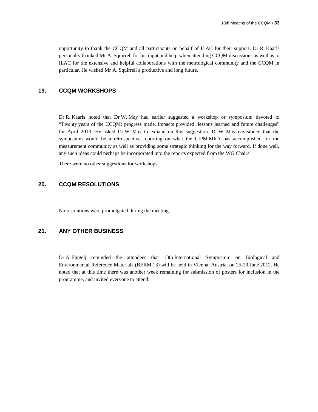opportunity to thank the CCQM and all participants on behalf of ILAC for their support. Dr R. Kaarls personally thanked Mr A. Squirrell for his input and help when attending CCQM discussions as well as to ILAC for the extensive and helpful collaborations with the metrological community and the CCQM in particular. He wished Mr A. Squirrell a productive and long future.

#### **19. CCQM WORKSHOPS**

Dr R. Kaarls noted that Dr W. May had earlier suggested a workshop or symposium devoted to "Twenty years of the CCQM: progress made, impacts provided, lessons learned and future challenges" for April 2013. He asked Dr W. May to expand on this suggestion. Dr W. May envisioned that the symposium would be a retrospective reporting on what the CIPM MRA has accomplished for the measurement community as well as providing some strategic thinking for the way forward. If done well, any such ideas could perhaps be incorporated into the reports expected from the WG Chairs.

There were no other suggestions for workshops.

## **20. CCQM RESOLUTIONS**

No resolutions were promulgated during the meeting.

## **21. ANY OTHER BUSINESS**

Dr A. Fajgelj reminded the attendees that 13th International Symposium on Biological and Environmental Reference Materials (BERM 13) will be held in Vienna, Austria, on 25-29 June 2012. He noted that at this time there was another week remaining for submission of posters for inclusion in the programme, and invited everyone to attend.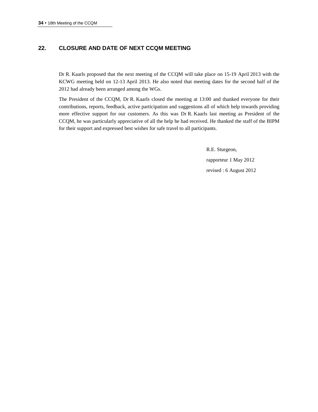# **22. CLOSURE AND DATE OF NEXT CCQM MEETING**

Dr R. Kaarls proposed that the next meeting of the CCQM will take place on 15-19 April 2013 with the KCWG meeting held on 12-13 April 2013. He also noted that meeting dates for the second half of the 2012 had already been arranged among the WGs.

The President of the CCQM, Dr R. Kaarls closed the meeting at 13:00 and thanked everyone for their contributions, reports, feedback, active participation and suggestions all of which help towards providing more effective support for our customers. As this was Dr R. Kaarls last meeting as President of the CCQM, he was particularly appreciative of all the help he had received. He thanked the staff of the BIPM for their support and expressed best wishes for safe travel to all participants.

> R.E. Sturgeon, rapporteur 1 May 2012 revised : 6 August 2012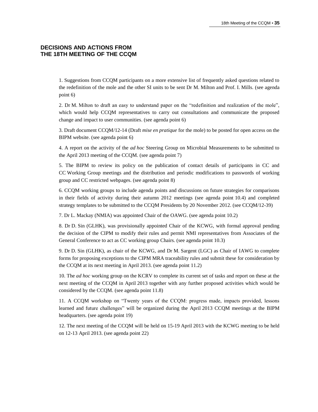## **DECISIONS AND ACTIONS FROM THE 18TH MEETING OF THE CCQM**

1. Suggestions from CCQM participants on a more extensive list of frequently asked questions related to the redefinition of the mole and the other SI units to be sent Dr M. Milton and Prof. I. Mills. (see agenda point 6)

2. Dr M. Milton to draft an easy to understand paper on the "redefinition and realization of the mole", which would help CCQM representatives to carry out consultations and communicate the proposed change and impact to user communities. (see agenda point 6)

3. Draft document CCQM/12-14 (Draft *mise en pratique* for the mole) to be posted for open access on the BIPM website. (see agenda point 6)

4. A report on the activity of the *ad hoc* Steering Group on Microbial Measurements to be submitted to the April 2013 meeting of the CCQM. (see agenda point 7)

5. The BIPM to review its policy on the publication of contact details of participants in CC and CC Working Group meetings and the distribution and periodic modifications to passwords of working group and CC restricted webpages. (see agenda point 8)

6. CCQM working groups to include agenda points and discussions on future strategies for comparisons in their fields of activity during their autumn 2012 meetings (see agenda point 10.4) and completed strategy templates to be submitted to the CCQM Presidents by 20 November 2012. (see CCQM/12-39)

7. Dr L. Mackay (NMIA) was appointed Chair of the OAWG. (see agenda point 10.2)

8. Dr D. Sin (GLHK), was provisionally appointed Chair of the KCWG, with formal approval pending the decision of the CIPM to modify their rules and permit NMI representatives from Associates of the General Conference to act as CC working group Chairs. (see agenda point 10.3)

9. Dr D. Sin (GLHK), as chair of the KCWG, and Dr M. Sargent (LGC) as Chair of IAWG to complete forms for proposing exceptions to the CIPM MRA traceability rules and submit these for consideration by the CCQM at its next meeting in April 2013. (see agenda point 11.2)

10. The *ad hoc* working group on the KCRV to complete its current set of tasks and report on these at the next meeting of the CCQM in April 2013 together with any further proposed activities which would be considered by the CCQM. (see agenda point 11.8)

11. A CCQM workshop on "Twenty years of the CCQM: progress made, impacts provided, lessons learned and future challenges" will be organized during the April 2013 CCQM meetings at the BIPM headquarters. (see agenda point 19)

12. The next meeting of the CCQM will be held on 15-19 April 2013 with the KCWG meeting to be held on 12-13 April 2013. (see agenda point 22)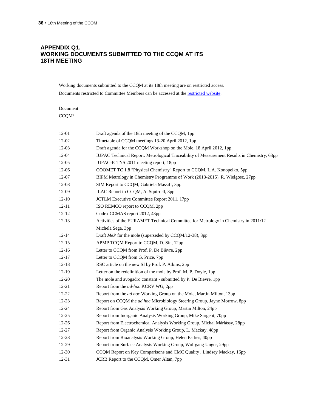## **APPENDIX Q1. WORKING DOCUMENTS SUBMITTED TO THE CCQM AT ITS 18TH MEETING**

Working documents submitted to the CCQM at its 18th meeting are on restricted access.

Documents restricted to Committee Members can be accessed at the [restricted website.](https://www.bipm.org/en/committees/cc/ccqm/) 

Draft agenda of the 18th meeting of the CCQM, 1pp

| Document  |
|-----------|
| CCQM/     |
|           |
|           |
| $12-01$   |
| $12 - 02$ |
| 12-03     |

| $12 - 02$ | Timetable of CCQM meetings 13-20 April 2012, 1pp                                            |
|-----------|---------------------------------------------------------------------------------------------|
| $12-03$   | Draft agenda for the CCQM Workshop on the Mole, 18 April 2012, 1pp                          |
| 12-04     | IUPAC Technical Report: Metrological Traceability of Measurement Results in Chemistry, 63pp |
| $12 - 05$ | IUPAC-ICTNS 2011 meeting report, 18pp                                                       |
| 12-06     | COOMET TC 1.8 "Physical Chemistry" Report to CCQM, L.A. Konopelko, 5pp                      |
| 12-07     | BIPM Metrology in Chemistry Programme of Work (2013-2015), R. Wielgosz, 27pp                |
| 12-08     | SIM Report to CCQM, Gabriela Massiff, 3pp                                                   |
| 12-09     | ILAC Report to CCQM, A. Squirrell, 3pp                                                      |
| $12-10$   | JCTLM Executive Committee Report 2011, 17pp                                                 |
| $12 - 11$ | ISO REMCO report to CCQM, 2pp                                                               |
| $12 - 12$ | Codex CCMAS report 2012, 43pp                                                               |
| $12-13$   | Activities of the EURAMET Technical Committee for Metrology in Chemistry in 2011/12         |
|           | Michela Sega, 3pp                                                                           |
| $12 - 14$ | Draft MeP for the mole (superseded by CCQM/12-38), 3pp                                      |
| $12 - 15$ | APMP TCQM Report to CCQM, D. Sin, 12pp                                                      |
| $12 - 16$ | Letter to CCQM from Prof. P. De Bièvre, 2pp                                                 |
| $12 - 17$ | Letter to CCQM from G. Price, 7pp                                                           |
| $12 - 18$ | RSC article on the new SI by Prof. P. Atkins, 2pp                                           |
| $12-19$   | Letter on the redefinition of the mole by Prof. M. P. Doyle, 1pp                            |
| $12 - 20$ | The mole and avogadro constant - submitted by P. De Bievre, 1pp                             |
| $12 - 21$ | Report from the ad-hoc KCRV WG, 2pp                                                         |
| 12-22     | Report from the <i>ad hoc</i> Working Group on the Mole, Martin Milton, 13pp                |
| $12 - 23$ | Report on CCQM the <i>ad hoc</i> Microbiology Steering Group, Jayne Morrow, 8pp             |
| $12 - 24$ | Report from Gas Analysis Working Group, Martin Milton, 24pp                                 |
| $12 - 25$ | Report from Inorganic Analysis Working Group, Mike Sargent, 70pp                            |
| $12 - 26$ | Report from Electrochemical Analysis Working Group, Michal Máriássy, 28pp                   |
| 12-27     | Report from Organic Analysis Working Group, L. Mackay, 48pp                                 |
| 12-28     | Report from Bioanalysis Working Group, Helen Parkes, 40pp                                   |
| 12-29     | Report from Surface Analysis Working Group, Wolfgang Unger, 29pp                            |
| 12-30     | CCQM Report on Key Comparisons and CMC Quality, Lindsey Mackay, 16pp                        |
| $12 - 31$ | JCRB Report to the CCQM, Ömer Altan, 7pp                                                    |